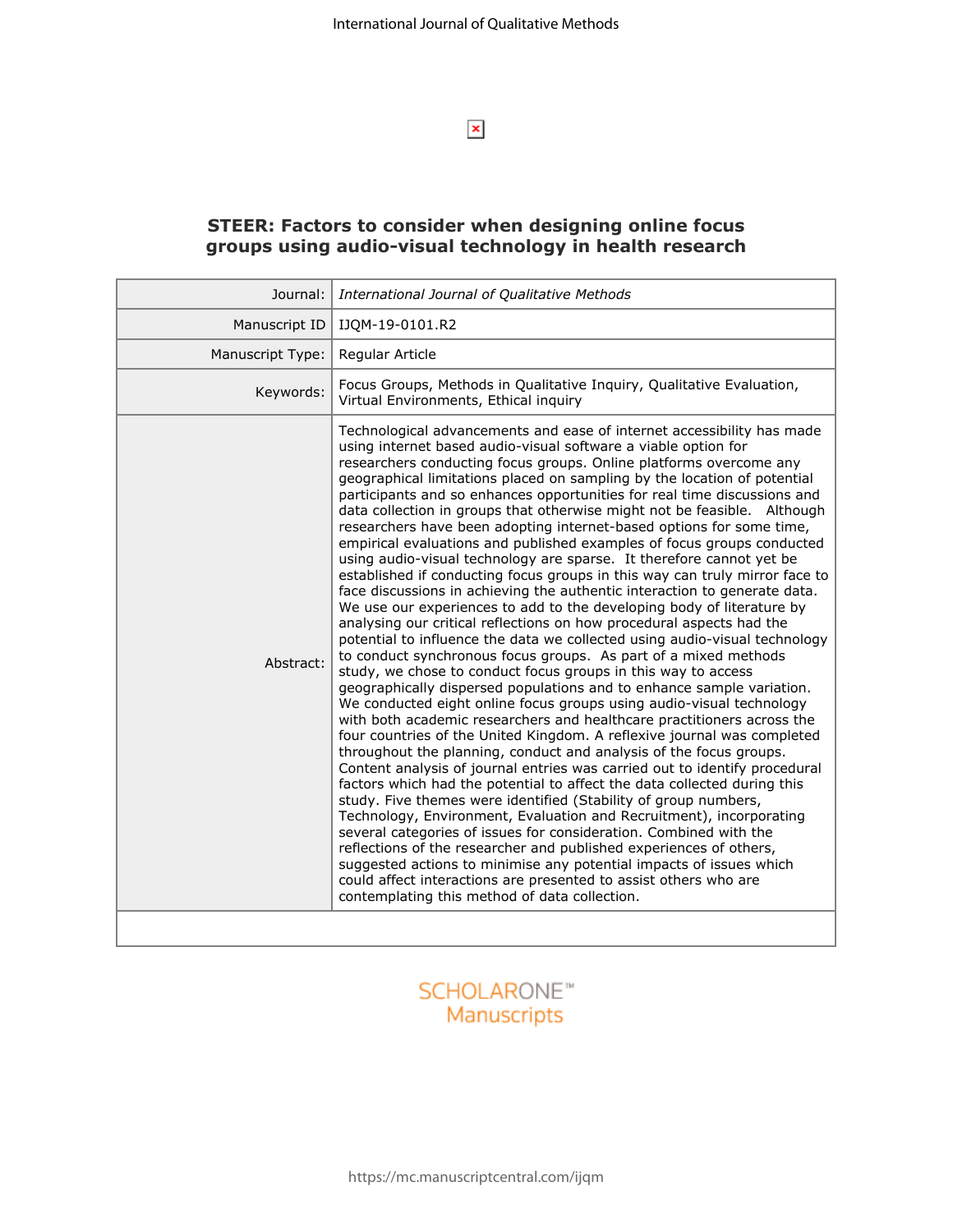$\pmb{\times}$ 

# **STEER: Factors to consider when designing online focus groups using audio-visual technology in health research**

| Journal:         | International Journal of Qualitative Methods                                                                                                                                                                                                                                                                                                                                                                                                                                                                                                                                                                                                                                                                                                                                                                                                                                                                                                                                                                                                                                                                                                                                                                                                                                                                                                                                                                                                                                                                                                                                                                                                                                                                                                                                                                                                                                                                                                                                                                                                                                                                                                                                                                                       |  |
|------------------|------------------------------------------------------------------------------------------------------------------------------------------------------------------------------------------------------------------------------------------------------------------------------------------------------------------------------------------------------------------------------------------------------------------------------------------------------------------------------------------------------------------------------------------------------------------------------------------------------------------------------------------------------------------------------------------------------------------------------------------------------------------------------------------------------------------------------------------------------------------------------------------------------------------------------------------------------------------------------------------------------------------------------------------------------------------------------------------------------------------------------------------------------------------------------------------------------------------------------------------------------------------------------------------------------------------------------------------------------------------------------------------------------------------------------------------------------------------------------------------------------------------------------------------------------------------------------------------------------------------------------------------------------------------------------------------------------------------------------------------------------------------------------------------------------------------------------------------------------------------------------------------------------------------------------------------------------------------------------------------------------------------------------------------------------------------------------------------------------------------------------------------------------------------------------------------------------------------------------------|--|
| Manuscript ID    | IJQM-19-0101.R2                                                                                                                                                                                                                                                                                                                                                                                                                                                                                                                                                                                                                                                                                                                                                                                                                                                                                                                                                                                                                                                                                                                                                                                                                                                                                                                                                                                                                                                                                                                                                                                                                                                                                                                                                                                                                                                                                                                                                                                                                                                                                                                                                                                                                    |  |
| Manuscript Type: | Regular Article                                                                                                                                                                                                                                                                                                                                                                                                                                                                                                                                                                                                                                                                                                                                                                                                                                                                                                                                                                                                                                                                                                                                                                                                                                                                                                                                                                                                                                                                                                                                                                                                                                                                                                                                                                                                                                                                                                                                                                                                                                                                                                                                                                                                                    |  |
| Keywords:        | Focus Groups, Methods in Qualitative Inquiry, Qualitative Evaluation,<br>Virtual Environments, Ethical inquiry                                                                                                                                                                                                                                                                                                                                                                                                                                                                                                                                                                                                                                                                                                                                                                                                                                                                                                                                                                                                                                                                                                                                                                                                                                                                                                                                                                                                                                                                                                                                                                                                                                                                                                                                                                                                                                                                                                                                                                                                                                                                                                                     |  |
| Abstract:        | Technological advancements and ease of internet accessibility has made<br>using internet based audio-visual software a viable option for<br>researchers conducting focus groups. Online platforms overcome any<br>geographical limitations placed on sampling by the location of potential<br>participants and so enhances opportunities for real time discussions and<br>data collection in groups that otherwise might not be feasible. Although<br>researchers have been adopting internet-based options for some time,<br>empirical evaluations and published examples of focus groups conducted<br>using audio-visual technology are sparse. It therefore cannot yet be<br>established if conducting focus groups in this way can truly mirror face to<br>face discussions in achieving the authentic interaction to generate data.<br>We use our experiences to add to the developing body of literature by<br>analysing our critical reflections on how procedural aspects had the<br>potential to influence the data we collected using audio-visual technology<br>to conduct synchronous focus groups. As part of a mixed methods<br>study, we chose to conduct focus groups in this way to access<br>geographically dispersed populations and to enhance sample variation.<br>We conducted eight online focus groups using audio-visual technology<br>with both academic researchers and healthcare practitioners across the<br>four countries of the United Kingdom. A reflexive journal was completed<br>throughout the planning, conduct and analysis of the focus groups.<br>Content analysis of journal entries was carried out to identify procedural<br>factors which had the potential to affect the data collected during this<br>study. Five themes were identified (Stability of group numbers,<br>Technology, Environment, Evaluation and Recruitment), incorporating<br>several categories of issues for consideration. Combined with the<br>reflections of the researcher and published experiences of others,<br>suggested actions to minimise any potential impacts of issues which<br>could affect interactions are presented to assist others who are<br>contemplating this method of data collection. |  |
|                  |                                                                                                                                                                                                                                                                                                                                                                                                                                                                                                                                                                                                                                                                                                                                                                                                                                                                                                                                                                                                                                                                                                                                                                                                                                                                                                                                                                                                                                                                                                                                                                                                                                                                                                                                                                                                                                                                                                                                                                                                                                                                                                                                                                                                                                    |  |

# **SCHOLARONE™** Manuscripts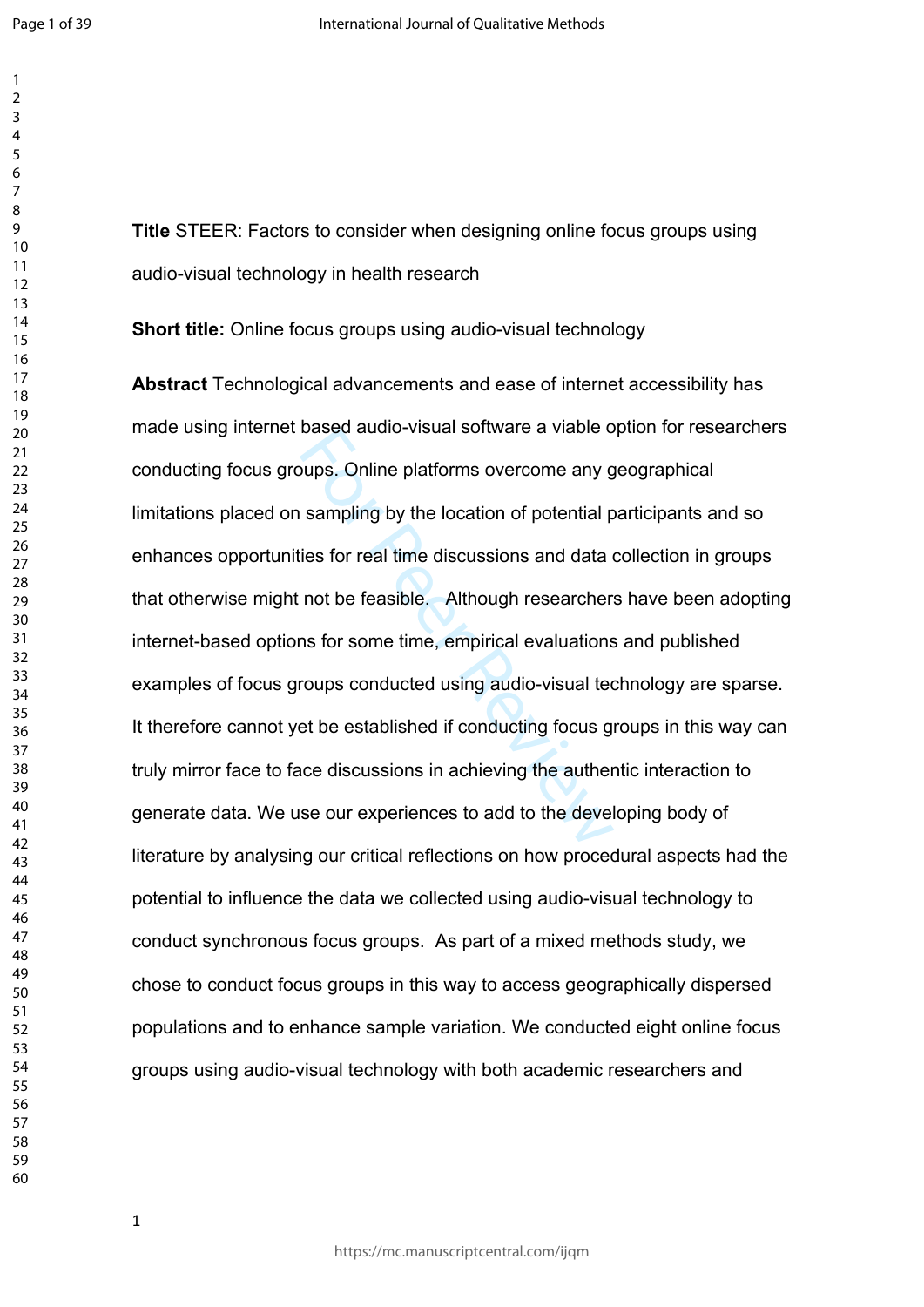**Title** STEER: Factors to consider when designing online focus groups using audio-visual technology in health research

**Short title:** Online focus groups using audio-visual technology

based addio-visual solitwate a viable d<br>sampling by the location of potential p<br>ies for real time discussions and data in<br>not be feasible. Although researchers<br>ns for some time, empirical evaluations<br>roups conducted using **Abstract** Technological advancements and ease of internet accessibility has made using internet based audio-visual software a viable option for researchers conducting focus groups. Online platforms overcome any geographical limitations placed on sampling by the location of potential participants and so enhances opportunities for real time discussions and data collection in groups that otherwise might not be feasible. Although researchers have been adopting internet-based options for some time, empirical evaluations and published examples of focus groups conducted using audio-visual technology are sparse. It therefore cannot yet be established if conducting focus groups in this way can truly mirror face to face discussions in achieving the authentic interaction to generate data. We use our experiences to add to the developing body of literature by analysing our critical reflections on how procedural aspects had the potential to influence the data we collected using audio-visual technology to conduct synchronous focus groups. As part of a mixed methods study, we chose to conduct focus groups in this way to access geographically dispersed populations and to enhance sample variation. We conducted eight online focus groups using audio-visual technology with both academic researchers and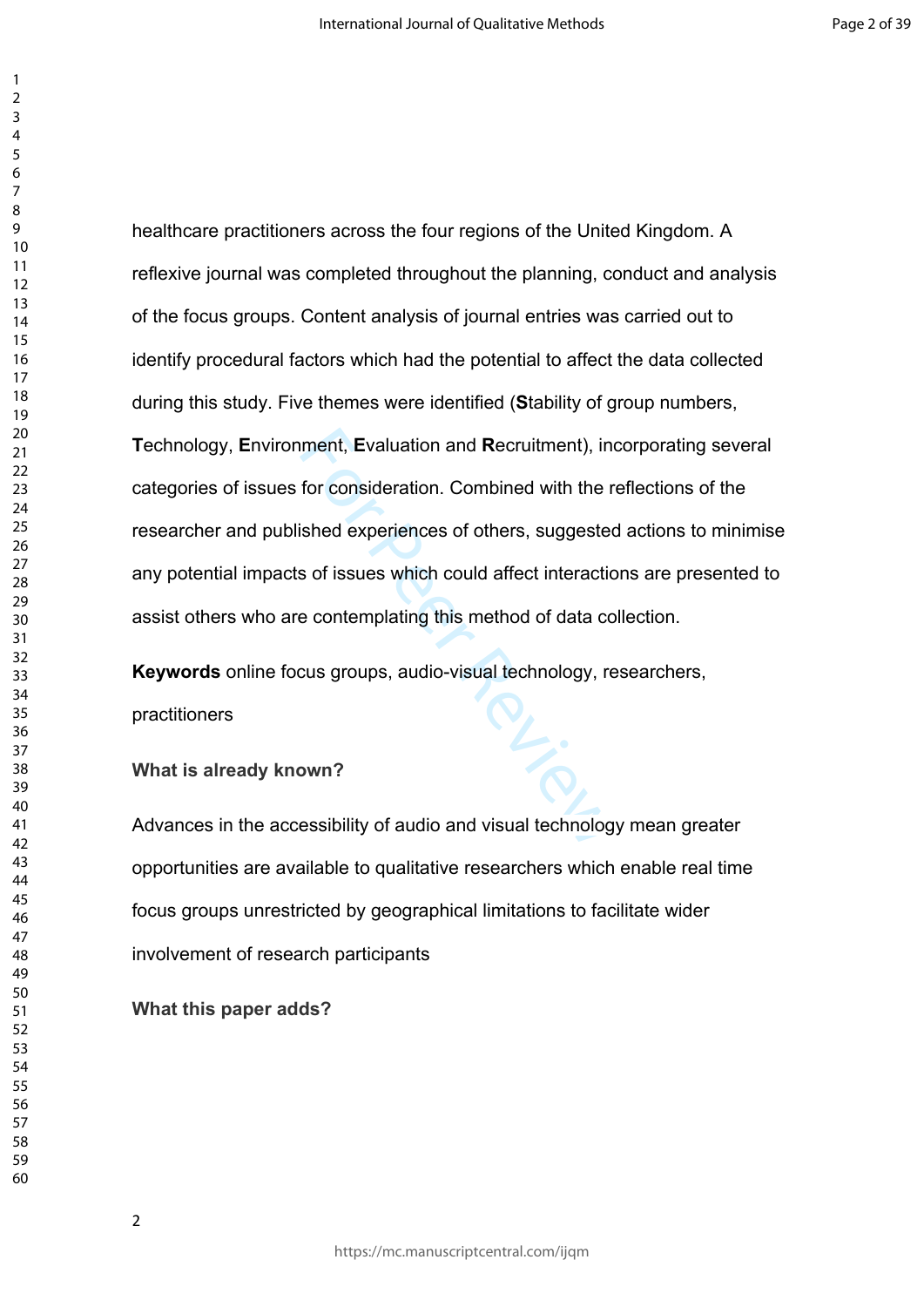ment, Evaluation and Recruitment), in<br>for consideration. Combined with the r<br>ished experiences of others, suggested<br>is of issues which could affect interactic<br>e contemplating this method of data cc<br>cus groups, audio-visual healthcare practitioners across the four regions of the United Kingdom. A reflexive journal was completed throughout the planning, conduct and analysis of the focus groups. Content analysis of journal entries was carried out to identify procedural factors which had the potential to affect the data collected during this study. Five themes were identified (**S**tability of group numbers, **T**echnology, **E**nvironment, **E**valuation and **R**ecruitment), incorporating several categories of issues for consideration. Combined with the reflections of the researcher and published experiences of others, suggested actions to minimise any potential impacts of issues which could affect interactions are presented to assist others who are contemplating this method of data collection.

**Keywords** online focus groups, audio-visual technology, researchers, practitioners

**What is already known?**

Advances in the accessibility of audio and visual technology mean greater opportunities are available to qualitative researchers which enable real time focus groups unrestricted by geographical limitations to facilitate wider involvement of research participants

**What this paper adds?**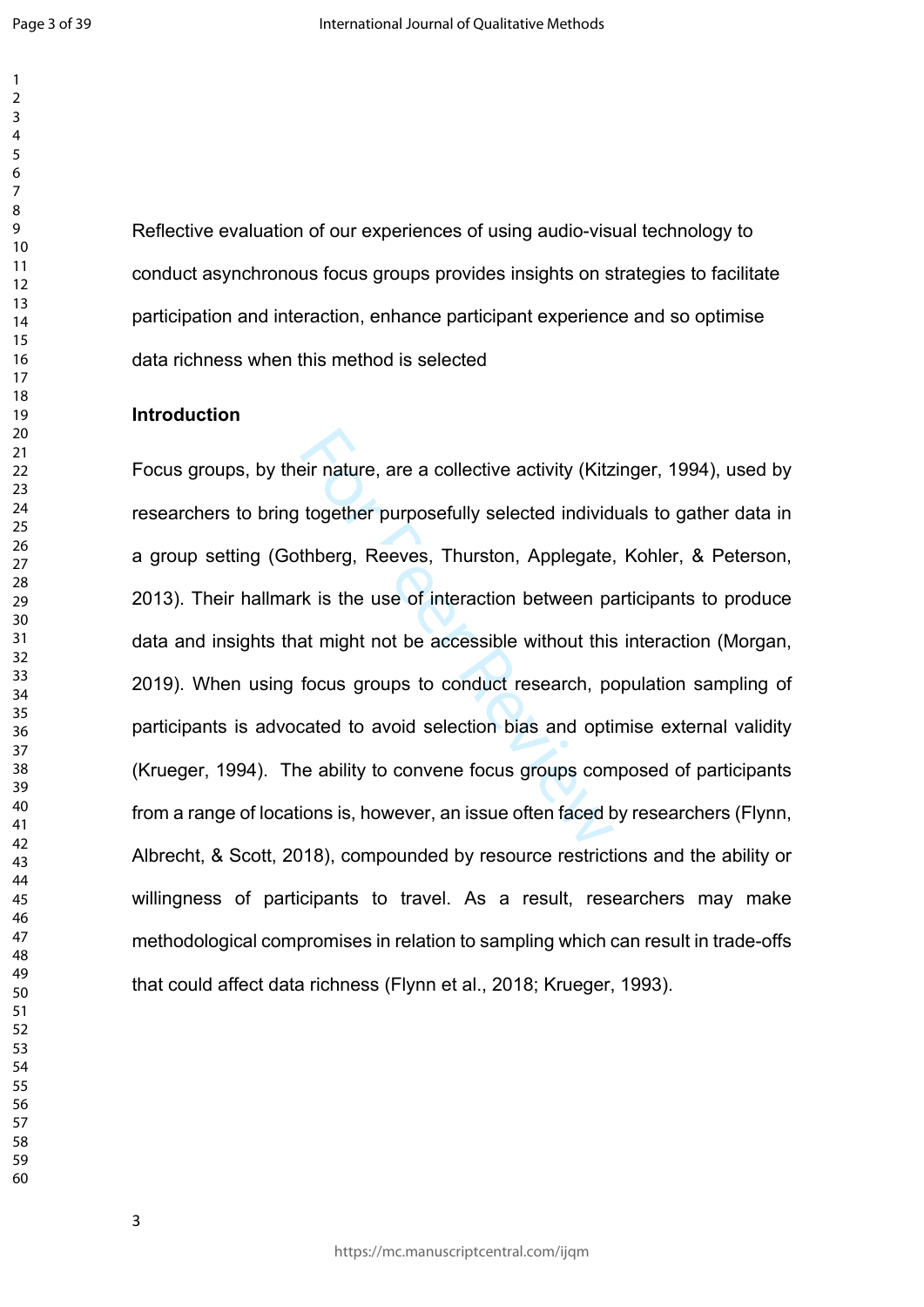Reflective evaluation of our experiences of using audio-visual technology to conduct asynchronous focus groups provides insights on strategies to facilitate participation and interaction, enhance participant experience and so optimise data richness when this method is selected

### **Introduction**

eir nature, are a collective activity (Kitz<br>together purposefully selected individ<br>thberg, Reeves, Thurston, Applegate,<br>k is the use of interaction between pa<br>at might not be accessible without this<br>focus groups to conduct Focus groups, by their nature, are a collective activity (Kitzinger, 1994), used by researchers to bring together purposefully selected individuals to gather data in a group setting (Gothberg, Reeves, Thurston, Applegate, Kohler, & Peterson, 2013). Their hallmark is the use of interaction between participants to produce data and insights that might not be accessible without this interaction (Morgan, 2019). When using focus groups to conduct research, population sampling of participants is advocated to avoid selection bias and optimise external validity (Krueger, 1994). The ability to convene focus groups composed of participants from a range of locations is, however, an issue often faced by researchers (Flynn, Albrecht, & Scott, 2018), compounded by resource restrictions and the ability or willingness of participants to travel. As a result, researchers may make methodological compromises in relation to sampling which can result in trade-offs that could affect data richness (Flynn et al., 2018; Krueger, 1993).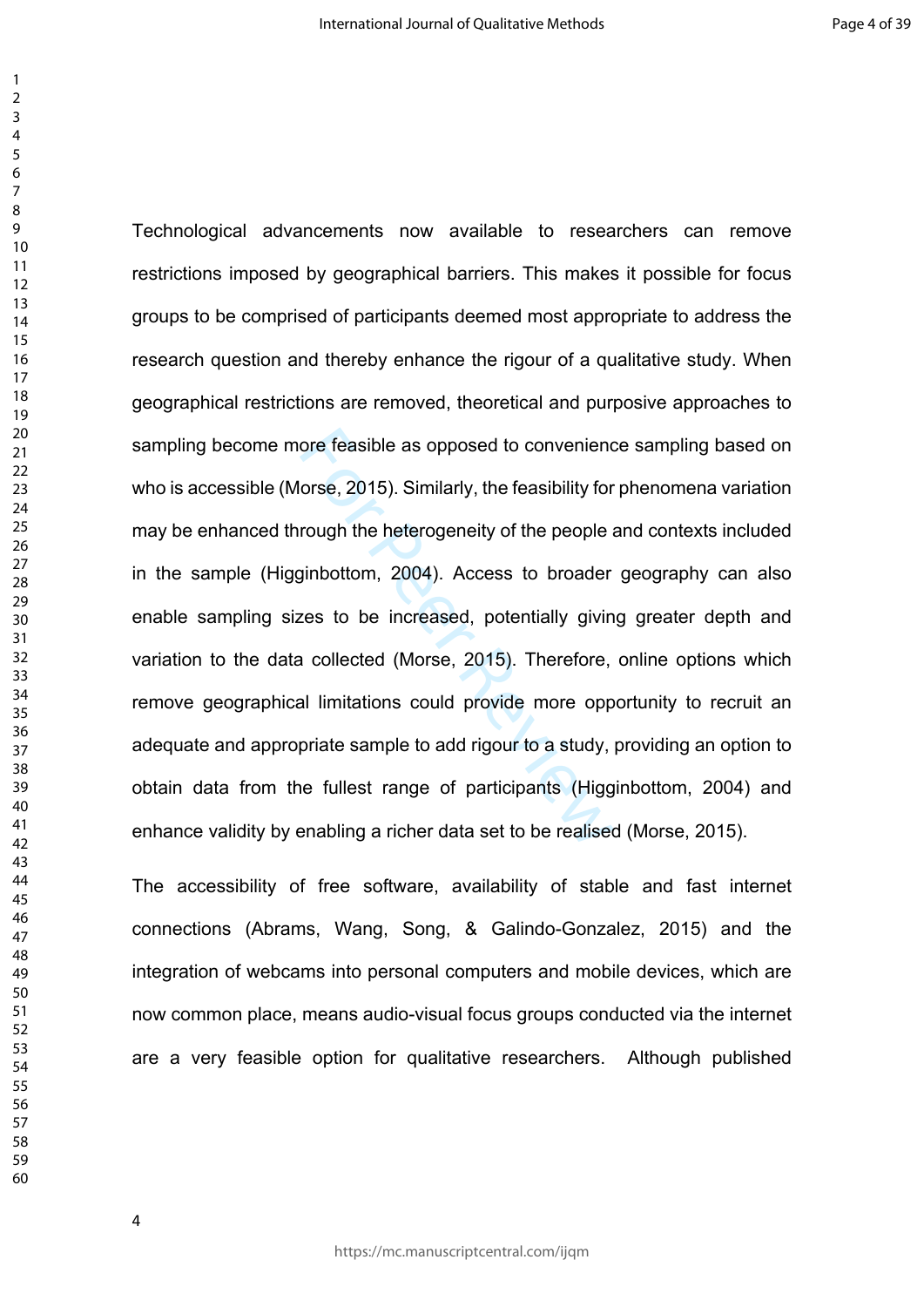ore feasible as opposed to conveniend<br>orse, 2015). Similarly, the feasibility for<br>rough the heterogeneity of the people<br>simbottom, 2004). Access to broader<br>res to be increased, potentially givin<br>a collected (Morse, 2015). Technological advancements now available to researchers can remove restrictions imposed by geographical barriers. This makes it possible for focus groups to be comprised of participants deemed most appropriate to address the research question and thereby enhance the rigour of a qualitative study. When geographical restrictions are removed, theoretical and purposive approaches to sampling become more feasible as opposed to convenience sampling based on who is accessible (Morse, 2015). Similarly, the feasibility for phenomena variation may be enhanced through the heterogeneity of the people and contexts included in the sample (Higginbottom, 2004). Access to broader geography can also enable sampling sizes to be increased, potentially giving greater depth and variation to the data collected (Morse, 2015). Therefore, online options which remove geographical limitations could provide more opportunity to recruit an adequate and appropriate sample to add rigour to a study, providing an option to obtain data from the fullest range of participants (Higginbottom, 2004) and enhance validity by enabling a richer data set to be realised (Morse, 2015).

The accessibility of free software, availability of stable and fast internet connections (Abrams, Wang, Song, & Galindo-Gonzalez, 2015) and the integration of webcams into personal computers and mobile devices, which are now common place, means audio-visual focus groups conducted via the internet are a very feasible option for qualitative researchers.Although published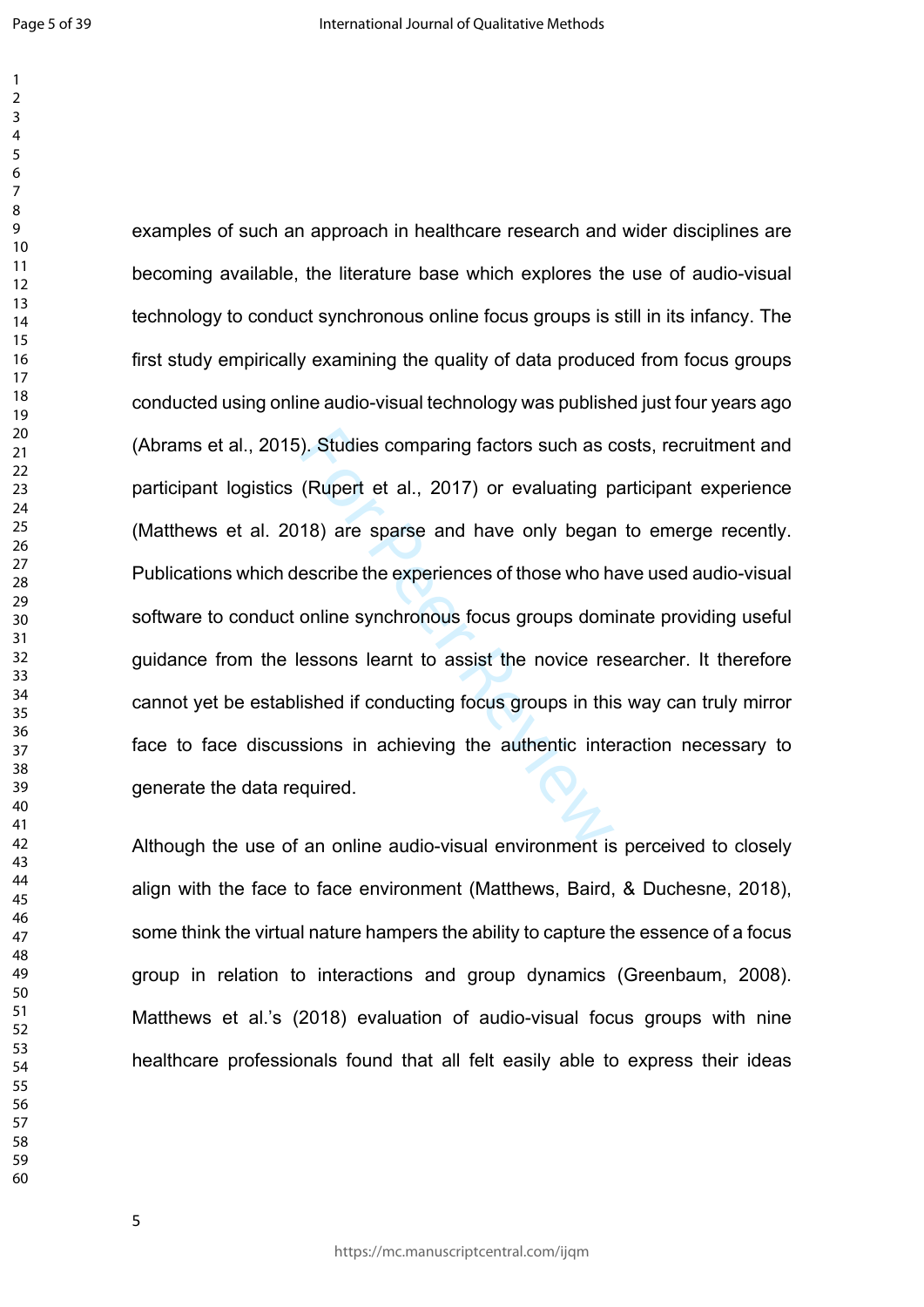). Studies comparing factors such as c<br>(Rupert et al., 2017) or evaluating p<br>18) are sparse and have only began<br>escribe the experiences of those who h<br>online synchronous focus groups dom<br>essons learnt to assist the novice examples of such an approach in healthcare research and wider disciplines are becoming available, the literature base which explores the use of audio-visual technology to conduct synchronous online focus groups is still in its infancy. The first study empirically examining the quality of data produced from focus groups conducted using online audio-visual technology was published just four years ago (Abrams et al., 2015). Studies comparing factors such as costs, recruitment and participant logistics (Rupert et al., 2017) or evaluating participant experience (Matthews et al. 2018) are sparse and have only began to emerge recently. Publications which describe the experiences of those who have used audio-visual software to conduct online synchronous focus groups dominate providing useful guidance from the lessons learnt to assist the novice researcher. It therefore cannot yet be established if conducting focus groups in this way can truly mirror face to face discussions in achieving the authentic interaction necessary to generate the data required.

Although the use of an online audio-visual environment is perceived to closely align with the face to face environment (Matthews, Baird, & Duchesne, 2018), some think the virtual nature hampers the ability to capture the essence of a focus group in relation to interactions and group dynamics (Greenbaum, 2008). Matthews et al.'s (2018) evaluation of audio-visual focus groups with nine healthcare professionals found that all felt easily able to express their ideas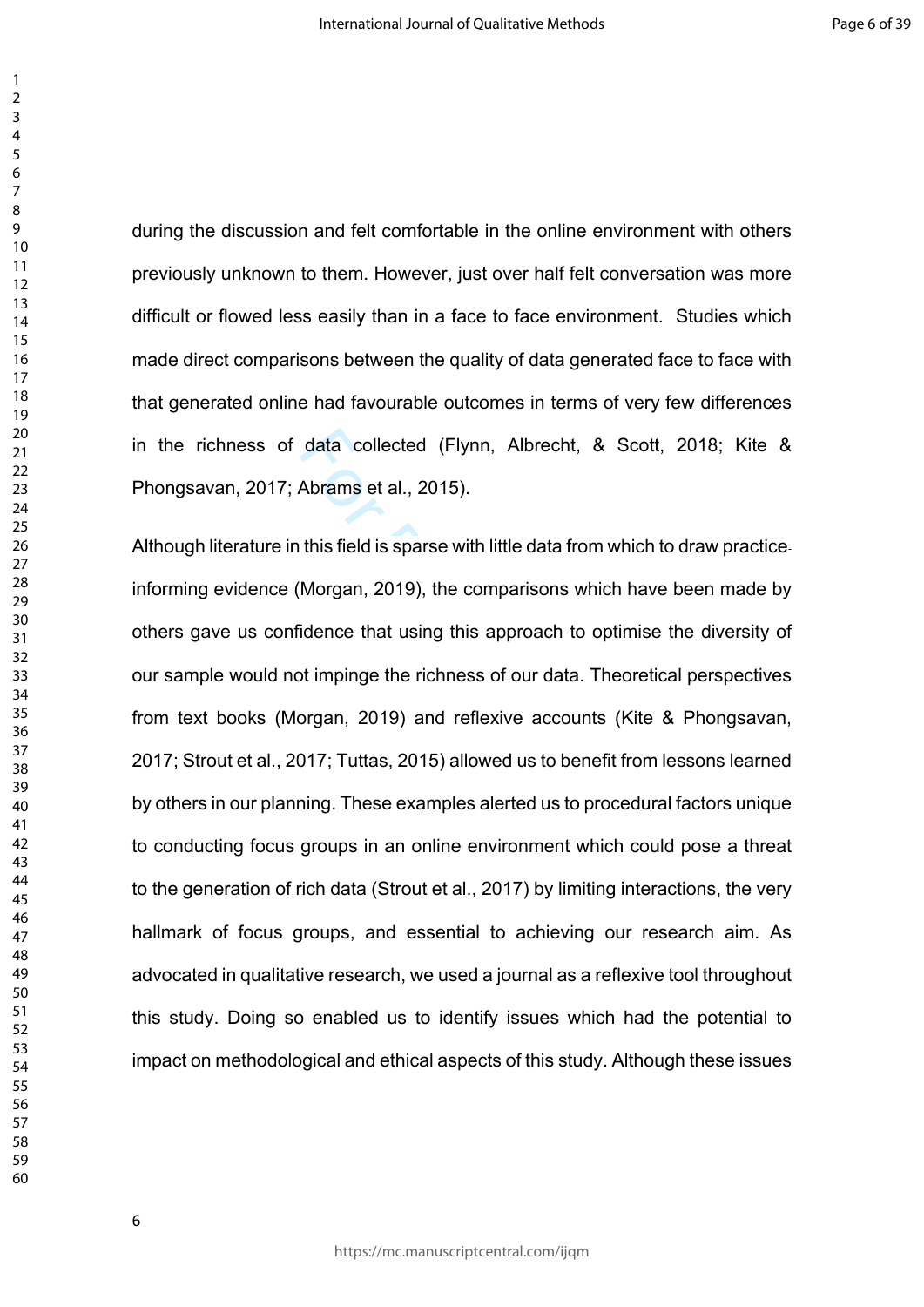during the discussion and felt comfortable in the online environment with others previously unknown to them. However, just over half felt conversation was more difficult or flowed less easily than in a face to face environment. Studies which made direct comparisons between the quality of data generated face to face with that generated online had favourable outcomes in terms of very few differences in the richness of data collected (Flynn, Albrecht, & Scott, 2018; Kite & Phongsavan, 2017; Abrams et al., 2015).

data collected (Flynn, Albrecht, &<br>Abrams et al., 2015).<br>this field is sparse with little data from v<br>Morgan, 2019), the comparisons which<br>idence that using this approach to op<br>ot impinge the richness of our data. The<br>orga Although literature in this field is sparse with little data from which to draw practiceinforming evidence (Morgan, 2019), the comparisons which have been made by others gave us confidence that using this approach to optimise the diversity of our sample would not impinge the richness of our data. Theoretical perspectives from text books (Morgan, 2019) and reflexive accounts (Kite & Phongsavan, 2017; Strout et al., 2017; Tuttas, 2015) allowed us to benefit from lessons learned by others in our planning. These examples alerted us to procedural factors unique to conducting focus groups in an online environment which could pose a threat to the generation of rich data (Strout et al., 2017) by limiting interactions, the very hallmark of focus groups, and essential to achieving our research aim. As advocated in qualitative research, we used a journal as a reflexive tool throughout this study. Doing so enabled us to identify issues which had the potential to impact on methodological and ethical aspects of this study. Although these issues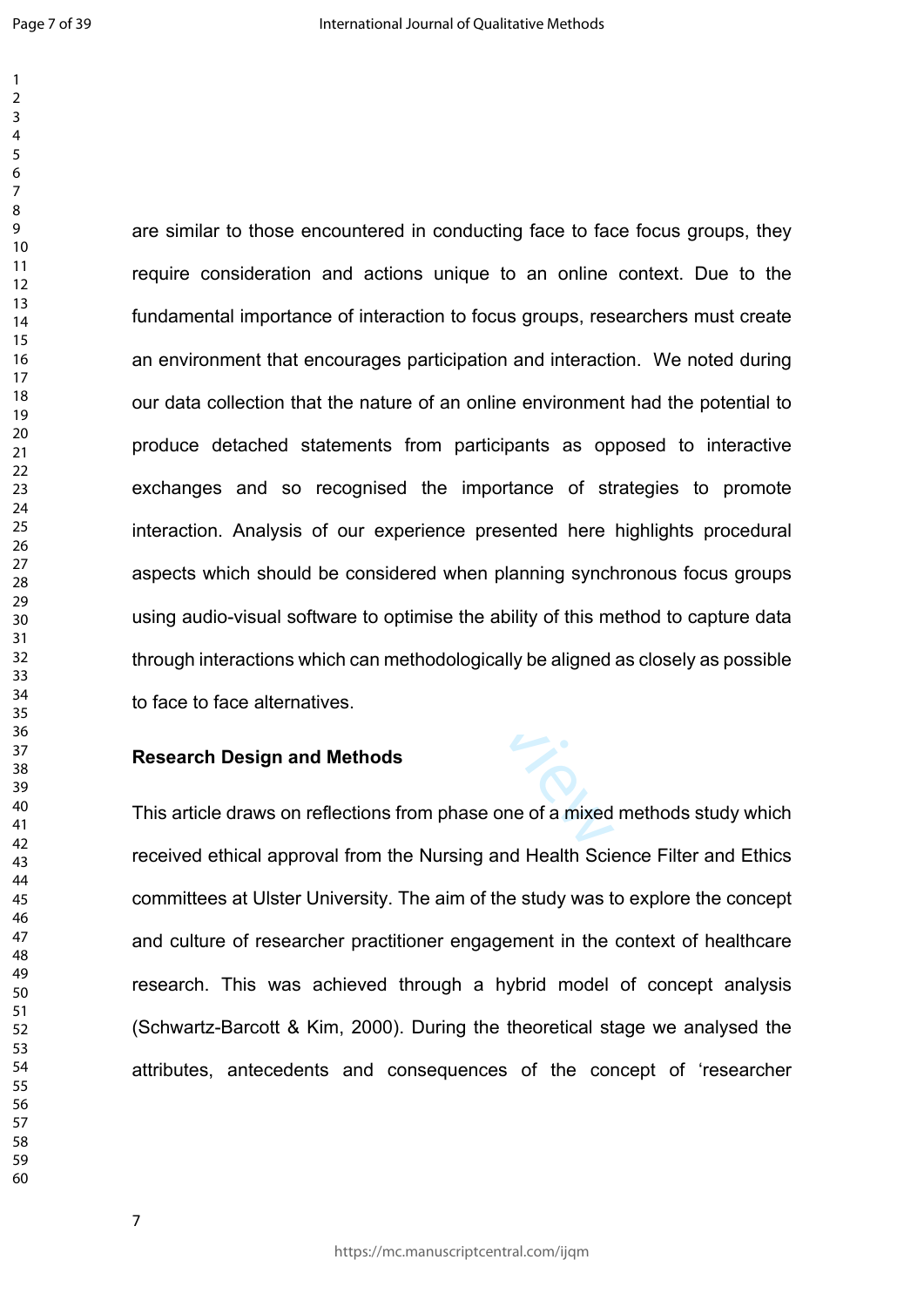statements from participants as op<br>
recognised the importance of st<br>
is of our experience presented here<br>
do be considered when planning synch<br>
oftware to optimise the ability of this m<br>
which can methodologically be align are similar to those encountered in conducting face to face focus groups, they require consideration and actions unique to an online context. Due to the fundamental importance of interaction to focus groups, researchers must create an environment that encourages participation and interaction. We noted during our data collection that the nature of an online environment had the potential to produce detached statements from participants as opposed to interactive exchanges and so recognised the importance of strategies to promote interaction. Analysis of our experience presented here highlights procedural aspects which should be considered when planning synchronous focus groups using audio-visual software to optimise the ability of this method to capture data through interactions which can methodologically be aligned as closely as possible to face to face alternatives.

### **Research Design and Methods**

This article draws on reflections from phase one of a mixed methods study which received ethical approval from the Nursing and Health Science Filter and Ethics committees at Ulster University. The aim of the study was to explore the concept and culture of researcher practitioner engagement in the context of healthcare research. This was achieved through a hybrid model of concept analysis (Schwartz-Barcott & Kim, 2000). During the theoretical stage we analysed the attributes, antecedents and consequences of the concept of 'researcher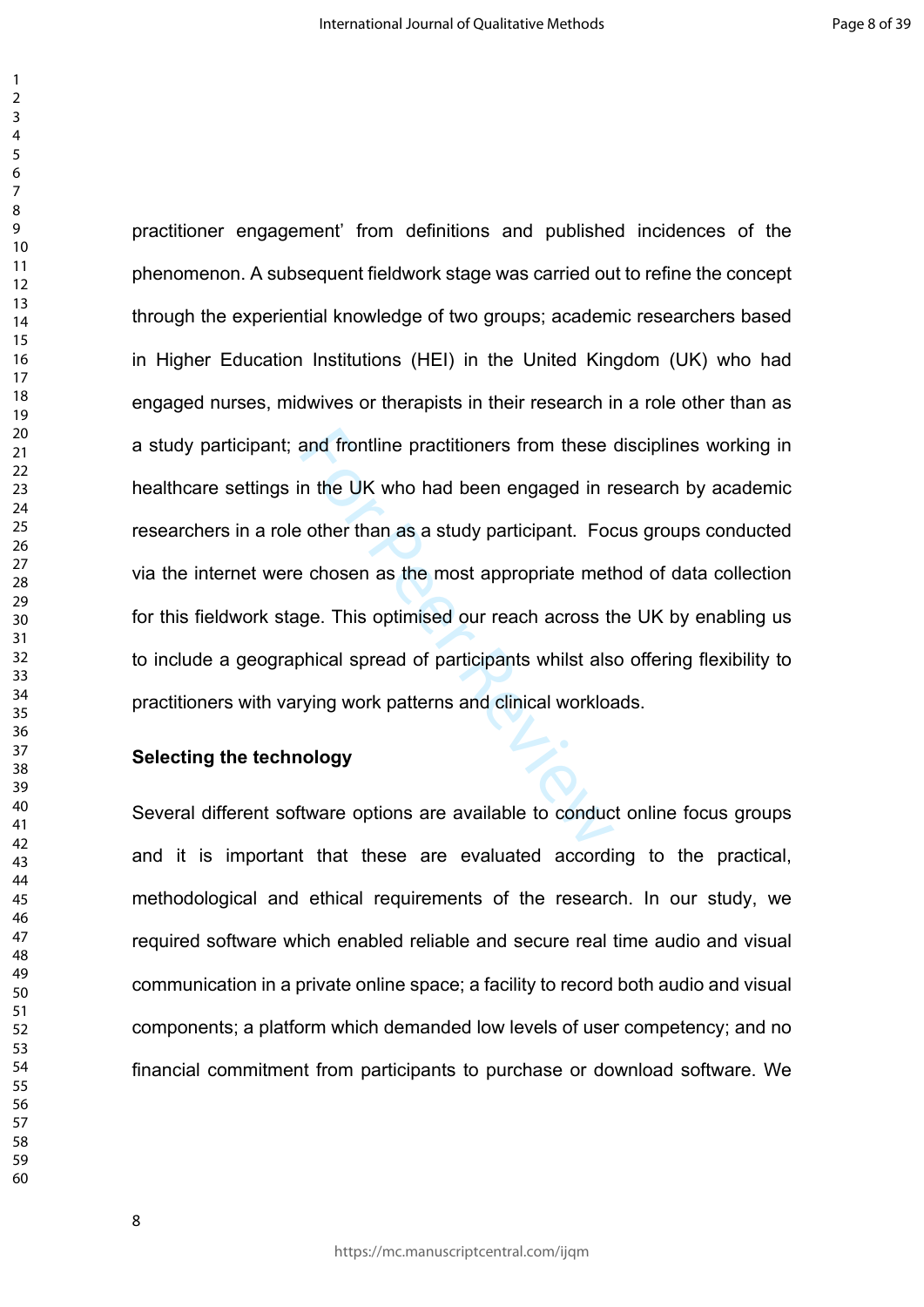> and frontline practitioners from these<br>
> in the UK who had been engaged in r<br>
> e other than as a study participant. For<br>
> e chosen as the most appropriate met<br>
> ge. This optimised our reach across the<br>
> phical spread of partici practitioner engagement' from definitions and published incidences of the phenomenon. A subsequent fieldwork stage was carried out to refine the concept through the experiential knowledge of two groups; academic researchers based in Higher Education Institutions (HEI) in the United Kingdom (UK) who had engaged nurses, midwives or therapists in their research in a role other than as a study participant; and frontline practitioners from these disciplines working in healthcare settings in the UK who had been engaged in research by academic researchers in a role other than as a study participant. Focus groups conducted via the internet were chosen as the most appropriate method of data collection for this fieldwork stage. This optimised our reach across the UK by enabling us to include a geographical spread of participants whilst also offering flexibility to practitioners with varying work patterns and clinical workloads.

# **Selecting the technology**

Several different software options are available to conduct online focus groups and it is important that these are evaluated according to the practical, methodological and ethical requirements of the research. In our study, we required software which enabled reliable and secure real time audio and visual communication in a private online space; a facility to record both audio and visual components; a platform which demanded low levels of user competency; and no financial commitment from participants to purchase or download software. We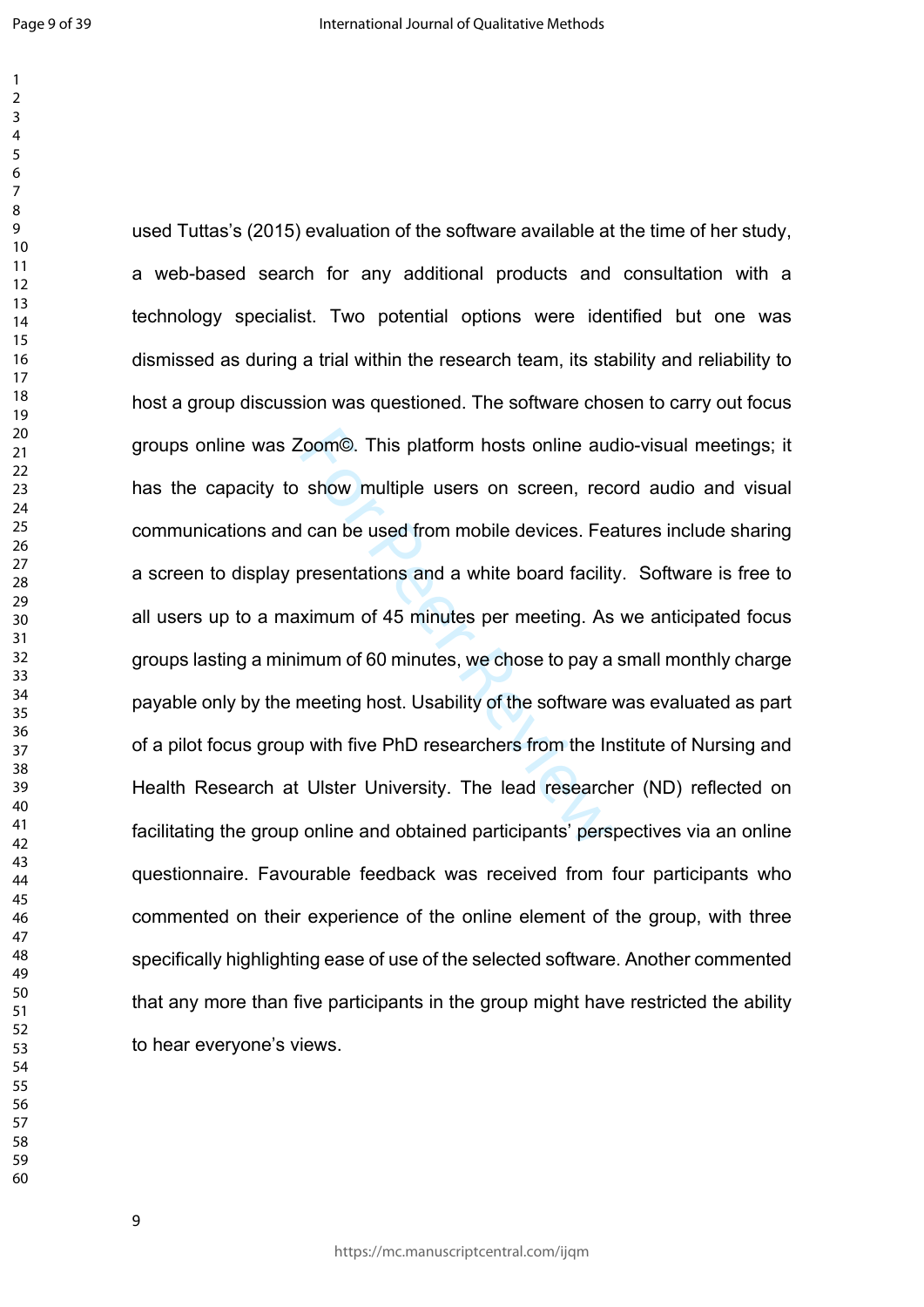Coom©. This platform hosts online aud<br>show multiple users on screen, rec<br>d can be used from mobile devices. Fea<br>oresentations and a white board facility<br>ximum of 45 minutes per meeting. As<br>mum of 60 minutes, we chose to pa used Tuttas's (2015) evaluation of the software available at the time of her study, a web-based search for any additional products and consultation with a technology specialist. Two potential options were identified but one was dismissed as during a trial within the research team, its stability and reliability to host a group discussion was questioned. The software chosen to carry out focus groups online was Zoom©. This platform hosts online audio-visual meetings; it has the capacity to show multiple users on screen, record audio and visual communications and can be used from mobile devices. Features include sharing a screen to display presentations and a white board facility. Software is free to all users up to a maximum of 45 minutes per meeting. As we anticipated focus groups lasting a minimum of 60 minutes, we chose to pay a small monthly charge payable only by the meeting host. Usability of the software was evaluated as part of a pilot focus group with five PhD researchers from the Institute of Nursing and Health Research at Ulster University. The lead researcher (ND) reflected on facilitating the group online and obtained participants' perspectives via an online questionnaire. Favourable feedback was received from four participants who commented on their experience of the online element of the group, with three specifically highlighting ease of use of the selected software. Another commented that any more than five participants in the group might have restricted the ability to hear everyone's views.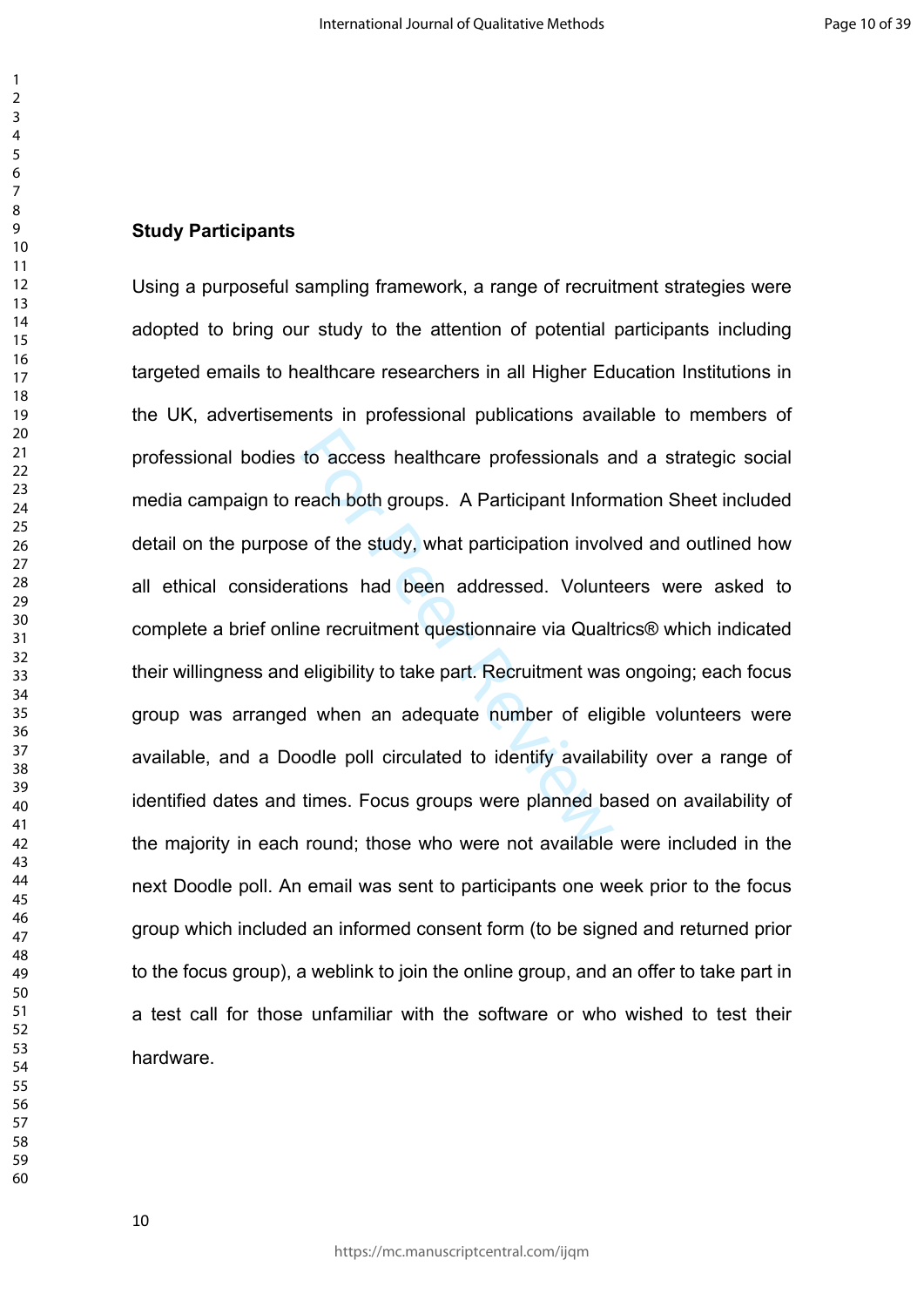#### **Study Participants**

to access healthcare professionals a<br>veach both groups. A Participant Inform<br>e of the study, what participation involvations had been addressed. Volunt<br>ne recruitment questionnaire via Qualt<br>eligibility to take part. Recru Using a purposeful sampling framework, a range of recruitment strategies were adopted to bring our study to the attention of potential participants including targeted emails to healthcare researchers in all Higher Education Institutions in the UK, advertisements in professional publications available to members of professional bodies to access healthcare professionals and a strategic social media campaign to reach both groups. A Participant Information Sheet included detail on the purpose of the study, what participation involved and outlined how all ethical considerations had been addressed. Volunteers were asked to complete a brief online recruitment questionnaire via Qualtrics® which indicated their willingness and eligibility to take part. Recruitment was ongoing; each focus group was arranged when an adequate number of eligible volunteers were available, and a Doodle poll circulated to identify availability over a range of identified dates and times. Focus groups were planned based on availability of the majority in each round; those who were not available were included in the next Doodle poll. An email was sent to participants one week prior to the focus group which included an informed consent form (to be signed and returned prior to the focus group), a weblink to join the online group, and an offer to take part in a test call for those unfamiliar with the software or who wished to test their hardware.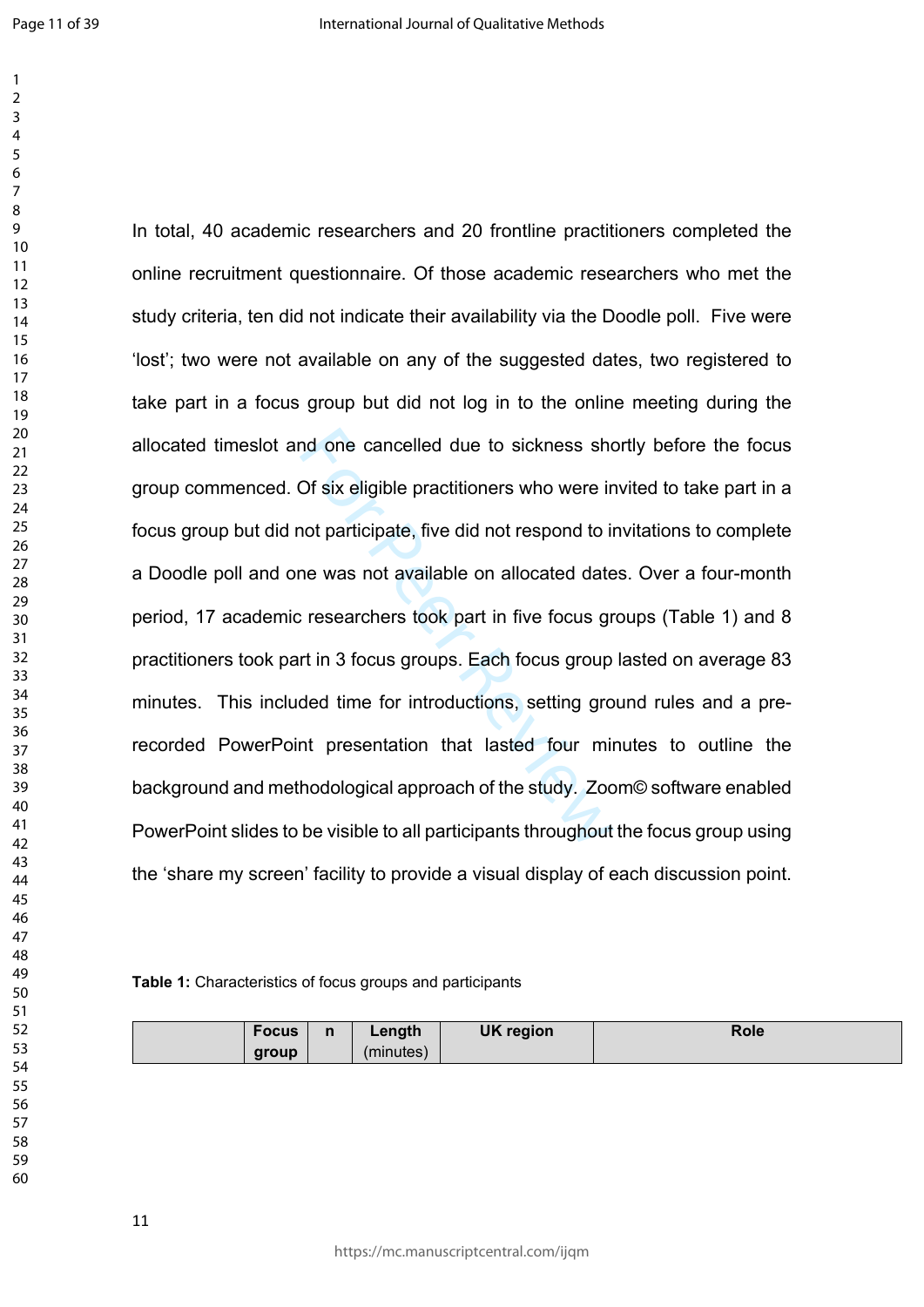nd one cancelled due to sickness shot<br>Of six eligible practitioners who were in<br>not participate, five did not respond to in<br>ne was not available on allocated date<br>cresearchers took part in five focus group<br>ort in 3 focus g In total, 40 academic researchers and 20 frontline practitioners completed the online recruitment questionnaire. Of those academic researchers who met the study criteria, ten did not indicate their availability via the Doodle poll. Five were 'lost'; two were not available on any of the suggested dates, two registered to take part in a focus group but did not log in to the online meeting during the allocated timeslot and one cancelled due to sickness shortly before the focus group commenced. Of six eligible practitioners who were invited to take part in a focus group but did not participate, five did not respond to invitations to complete a Doodle poll and one was not available on allocated dates. Over a four-month period, 17 academic researchers took part in five focus groups (Table 1) and 8 practitioners took part in 3 focus groups. Each focus group lasted on average 83 minutes. This included time for introductions, setting ground rules and a prerecorded PowerPoint presentation that lasted four minutes to outline the background and methodological approach of the study. Zoom© software enabled PowerPoint slides to be visible to all participants throughout the focus group using the 'share my screen' facility to provide a visual display of each discussion point.

#### **Table 1:** Characteristics of focus groups and participants

| <b>Focus</b> | n | Length    | <b>UK region</b> | Role |
|--------------|---|-----------|------------------|------|
| group        |   | (minutes) |                  |      |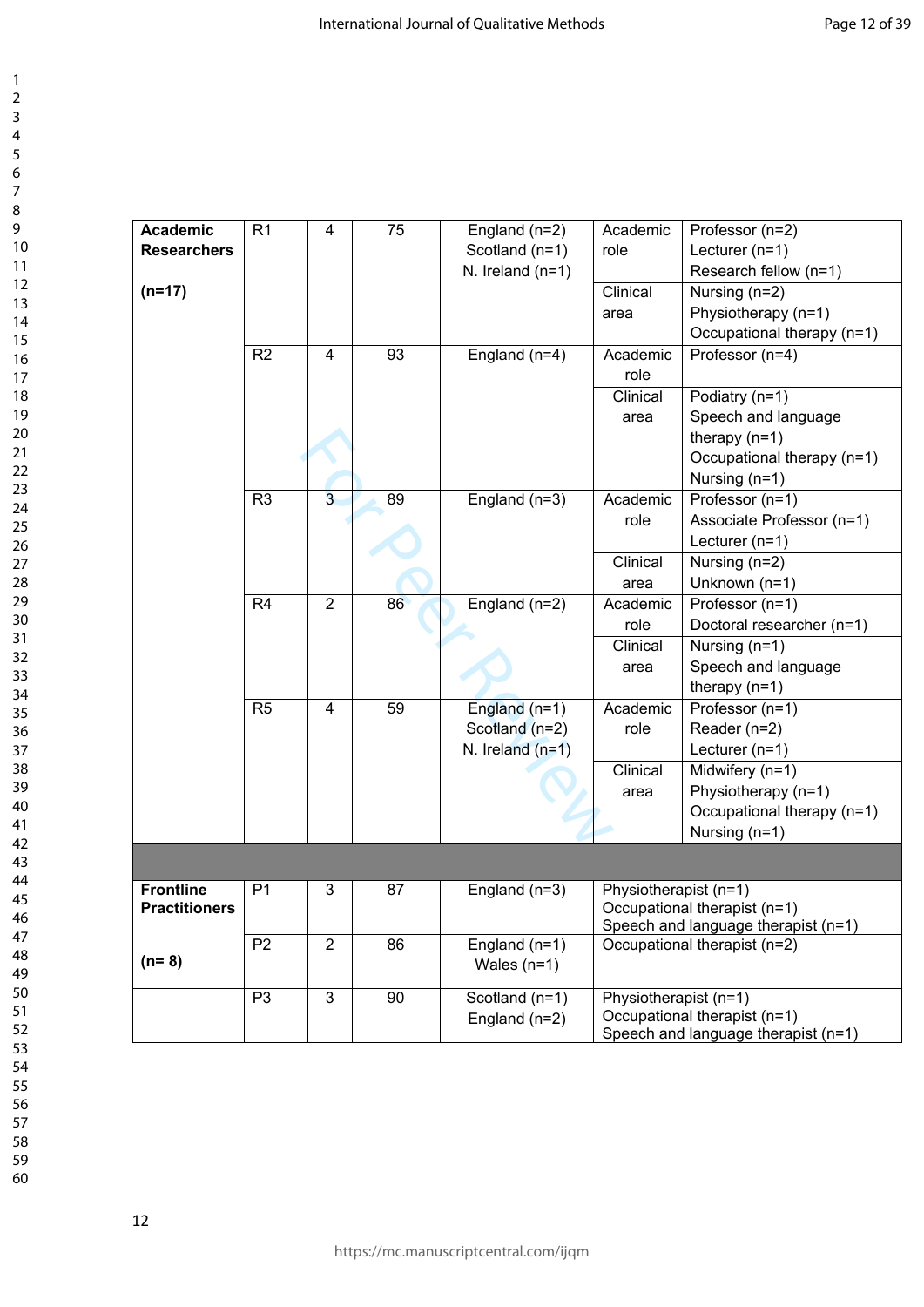| <b>Academic</b><br><b>Researchers</b><br>$(n=17)$ | R <sub>1</sub> | 4                       | 75 | England (n=2)<br>Scotland (n=1)<br>N. Ireland $(n=1)$   | Academic<br>role<br>Clinical | Professor (n=2)<br>Lecturer $(n=1)$<br>Research fellow (n=1)<br>Nursing $(n=2)$                         |
|---------------------------------------------------|----------------|-------------------------|----|---------------------------------------------------------|------------------------------|---------------------------------------------------------------------------------------------------------|
|                                                   |                |                         |    |                                                         | area                         | Physiotherapy (n=1)<br>Occupational therapy (n=1)                                                       |
|                                                   | R2             | 4                       | 93 | England (n=4)                                           | Academic<br>role             | Professor (n=4)                                                                                         |
|                                                   |                |                         |    |                                                         | Clinical<br>area             | Podiatry (n=1)<br>Speech and language<br>therapy $(n=1)$<br>Occupational therapy (n=1)<br>Nursing (n=1) |
|                                                   | R <sub>3</sub> | $\overline{\mathbf{3}}$ | 89 | England (n=3)                                           | Academic<br>role             | Professor (n=1)<br>Associate Professor (n=1)<br>Lecturer $(n=1)$                                        |
|                                                   |                |                         |    |                                                         | Clinical<br>area             | Nursing (n=2)<br>Unknown (n=1)                                                                          |
|                                                   | R <sub>4</sub> | $\overline{2}$          | 86 | England (n=2)                                           | Academic<br>role<br>Clinical | Professor (n=1)<br>Doctoral researcher (n=1)<br>Nursing (n=1)                                           |
|                                                   |                |                         |    |                                                         | area                         | Speech and language<br>therapy $(n=1)$                                                                  |
|                                                   | R <sub>5</sub> | 4                       | 59 | England $(n=1)$<br>Scotland (n=2)<br>N. Ireland $(n=1)$ | Academic<br>role             | Professor (n=1)<br>Reader (n=2)<br>Lecturer $(n=1)$                                                     |
|                                                   |                |                         |    |                                                         | Clinical<br>area             | Midwifery $(n=1)$<br>Physiotherapy (n=1)<br>Occupational therapy (n=1)<br>Nursing (n=1)                 |
|                                                   |                |                         |    |                                                         |                              |                                                                                                         |
| <b>Frontline</b><br><b>Practitioners</b>          | P <sub>1</sub> | 3                       | 87 | England $(n=3)$                                         | Physiotherapist (n=1)        | Occupational therapist (n=1)<br>Speech and language therapist (n=1)                                     |
| $(n=8)$                                           | P <sub>2</sub> | $\overline{2}$          | 86 | England (n=1)<br>Wales $(n=1)$                          |                              | Occupational therapist (n=2)                                                                            |
|                                                   | P <sub>3</sub> | $\overline{3}$          | 90 | Scotland (n=1)<br>England (n=2)                         | Physiotherapist (n=1)        | Occupational therapist (n=1)<br>Speech and language therapist (n=1)                                     |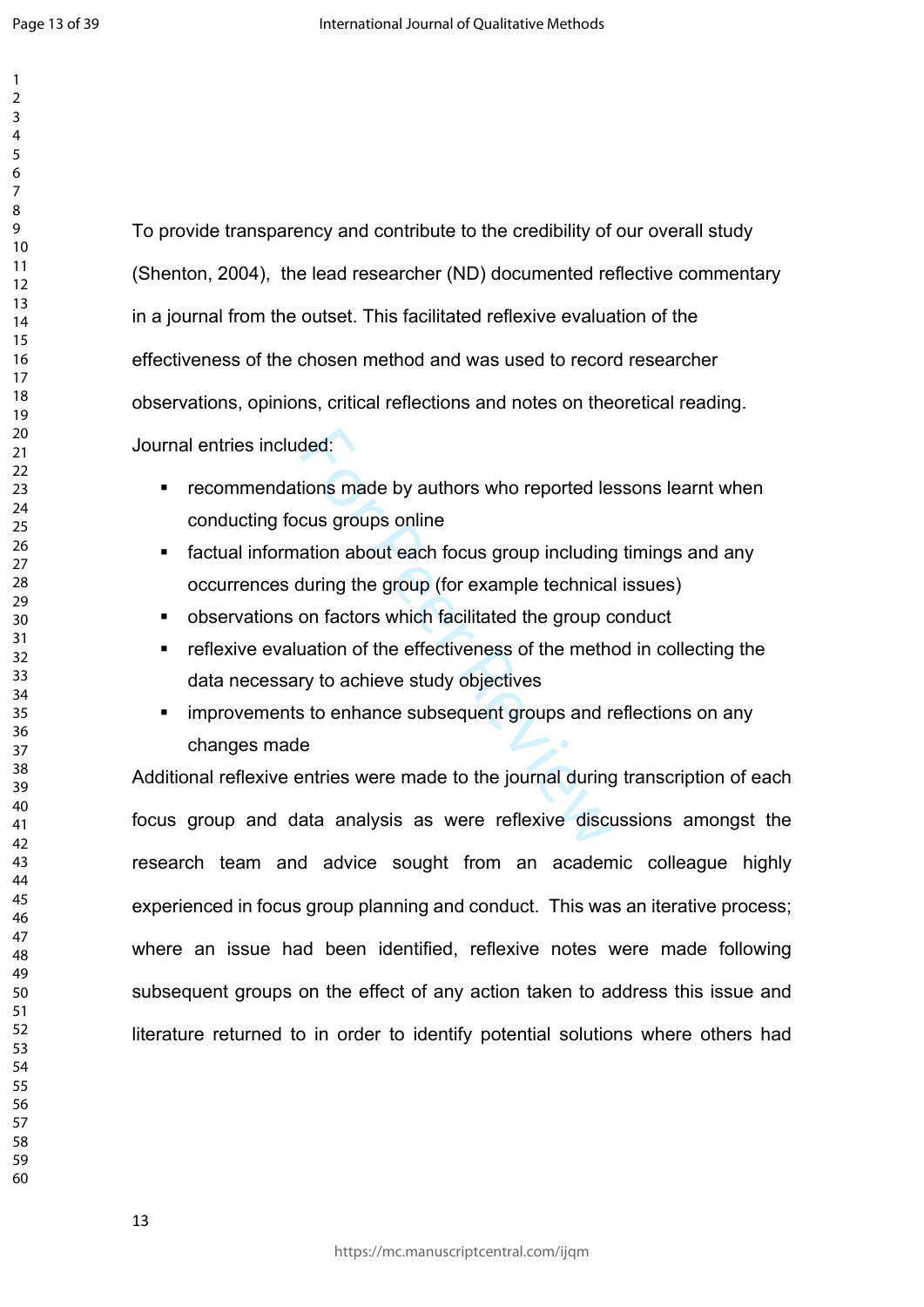To provide transparency and contribute to the credibility of our overall study (Shenton, 2004), the lead researcher (ND) documented reflective commentary in a journal from the outset. This facilitated reflexive evaluation of the effectiveness of the chosen method and was used to record researcher observations, opinions, critical reflections and notes on theoretical reading. Journal entries included:

- **EXECOMMENDATIONS MADE BY AUTHORS WHO REPORTED HIS SEARCH FIG. 4** FECOMMENT FIG. **PECIES THE REPORT FIG.** conducting focus groups online
- factual information about each focus group including timings and any occurrences during the group (for example technical issues)
- observations on factors which facilitated the group conduct
- reflexive evaluation of the effectiveness of the method in collecting the data necessary to achieve study objectives
- improvements to enhance subsequent groups and reflections on any changes made

ded:<br>
ions made by authors who reported le<br>
cus groups online<br>
ation about each focus group including<br>
during the group (for example technica<br>
on factors which facilitated the group c<br>
uation of the effectiveness of the me Additional reflexive entries were made to the journal during transcription of each focus group and data analysis as were reflexive discussions amongst the research team and advice sought from an academic colleague highly experienced in focus group planning and conduct. This was an iterative process; where an issue had been identified, reflexive notes were made following subsequent groups on the effect of any action taken to address this issue and literature returned to in order to identify potential solutions where others had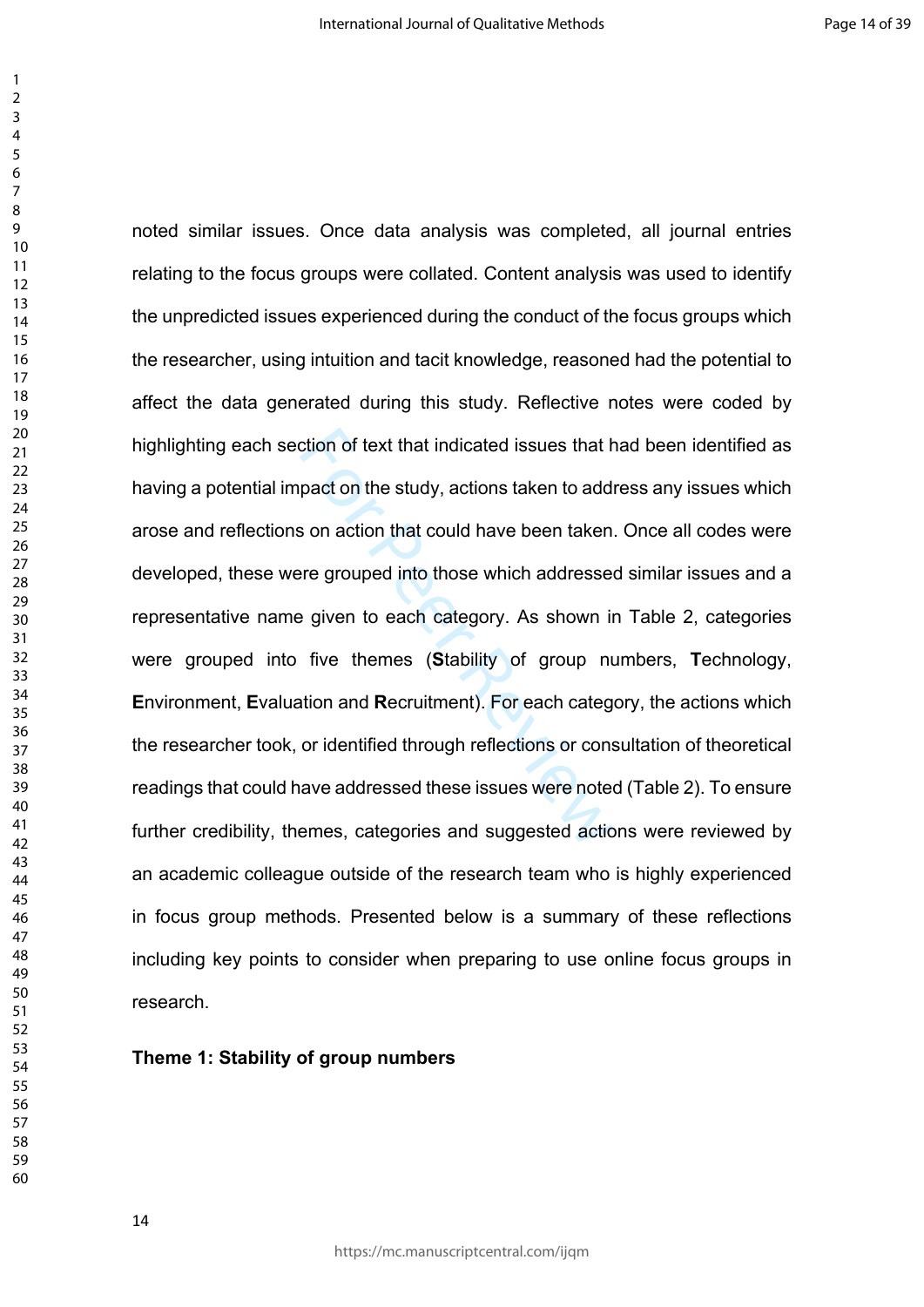ction of text that indicated issues that here are proton the study, actions taken to add<br>s on action that could have been taken<br>ree grouped into those which addresse<br>e given to each category. As shown in<br>five themes (Stabi noted similar issues. Once data analysis was completed, all journal entries relating to the focus groups were collated. Content analysis was used to identify the unpredicted issues experienced during the conduct of the focus groups which the researcher, using intuition and tacit knowledge, reasoned had the potential to affect the data generated during this study. Reflective notes were coded by highlighting each section of text that indicated issues that had been identified as having a potential impact on the study, actions taken to address any issues which arose and reflections on action that could have been taken. Once all codes were developed, these were grouped into those which addressed similar issues and a representative name given to each category. As shown in Table 2, categories were grouped into five themes (**S**tability of group numbers, **T**echnology, **E**nvironment, **E**valuation and **R**ecruitment). For each category, the actions which the researcher took, or identified through reflections or consultation of theoretical readings that could have addressed these issues were noted (Table 2). To ensure further credibility, themes, categories and suggested actions were reviewed by an academic colleague outside of the research team who is highly experienced in focus group methods. Presented below is a summary of these reflections including key points to consider when preparing to use online focus groups in research.

### **Theme 1: Stability of group numbers**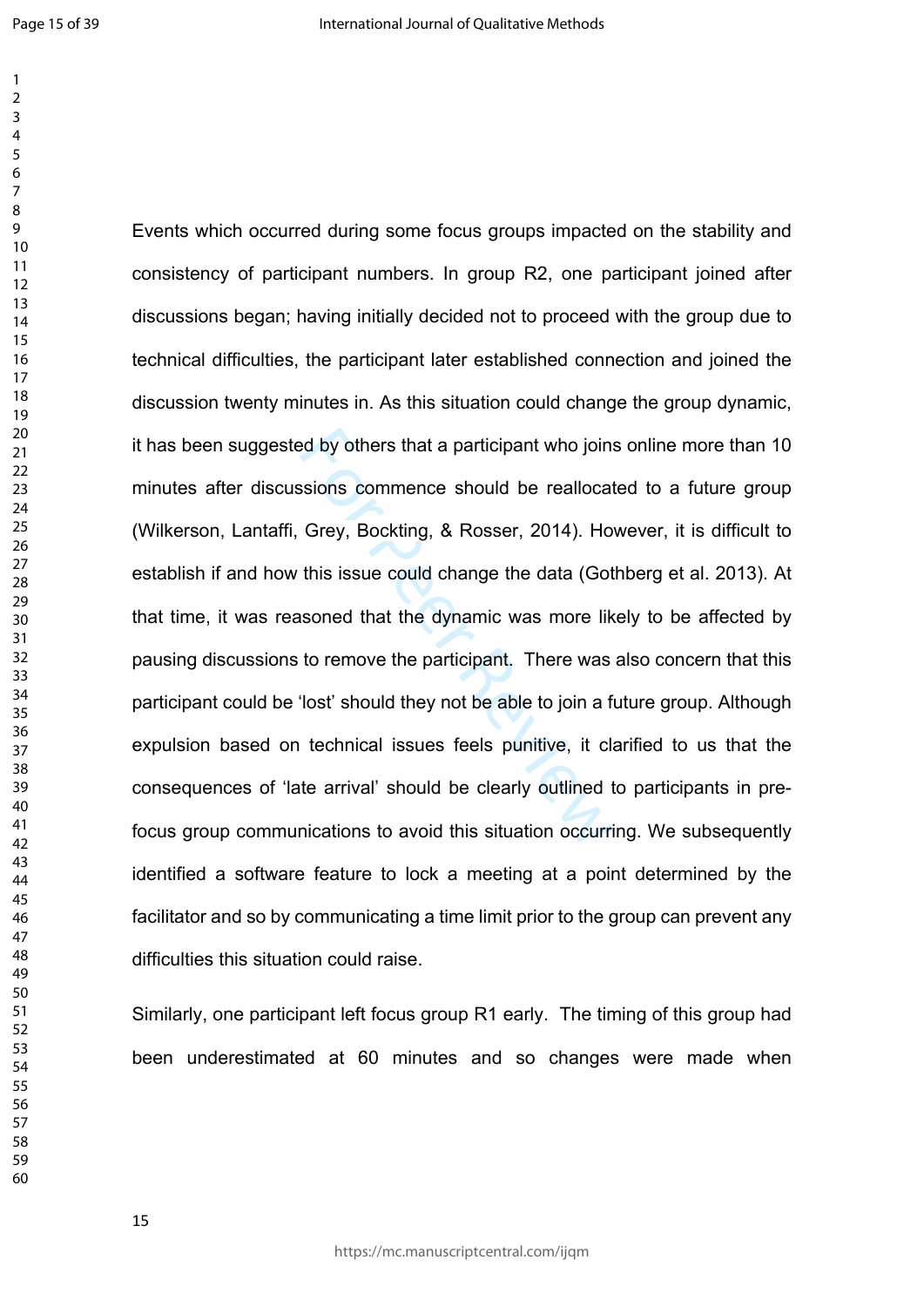ed by others that a participant who join:<br>sions commence should be reallocat<br>Grey, Bockting, & Rosser, 2014). Ho<br>this issue could change the data (Got<br>soned that the dynamic was more lik<br>to remove the participant. There wa Events which occurred during some focus groups impacted on the stability and consistency of participant numbers. In group R2, one participant joined after discussions began; having initially decided not to proceed with the group due to technical difficulties, the participant later established connection and joined the discussion twenty minutes in. As this situation could change the group dynamic, it has been suggested by others that a participant who joins online more than 10 minutes after discussions commence should be reallocated to a future group (Wilkerson, Lantaffi, Grey, Bockting, & Rosser, 2014). However, it is difficult to establish if and how this issue could change the data (Gothberg et al. 2013). At that time, it was reasoned that the dynamic was more likely to be affected by pausing discussions to remove the participant. There was also concern that this participant could be 'lost' should they not be able to join a future group. Although expulsion based on technical issues feels punitive, it clarified to us that the consequences of 'late arrival' should be clearly outlined to participants in prefocus group communications to avoid this situation occurring. We subsequently identified a software feature to lock a meeting at a point determined by the facilitator and so by communicating a time limit prior to the group can prevent any difficulties this situation could raise.

Similarly, one participant left focus group R1 early. The timing of this group had been underestimated at 60 minutes and so changes were made when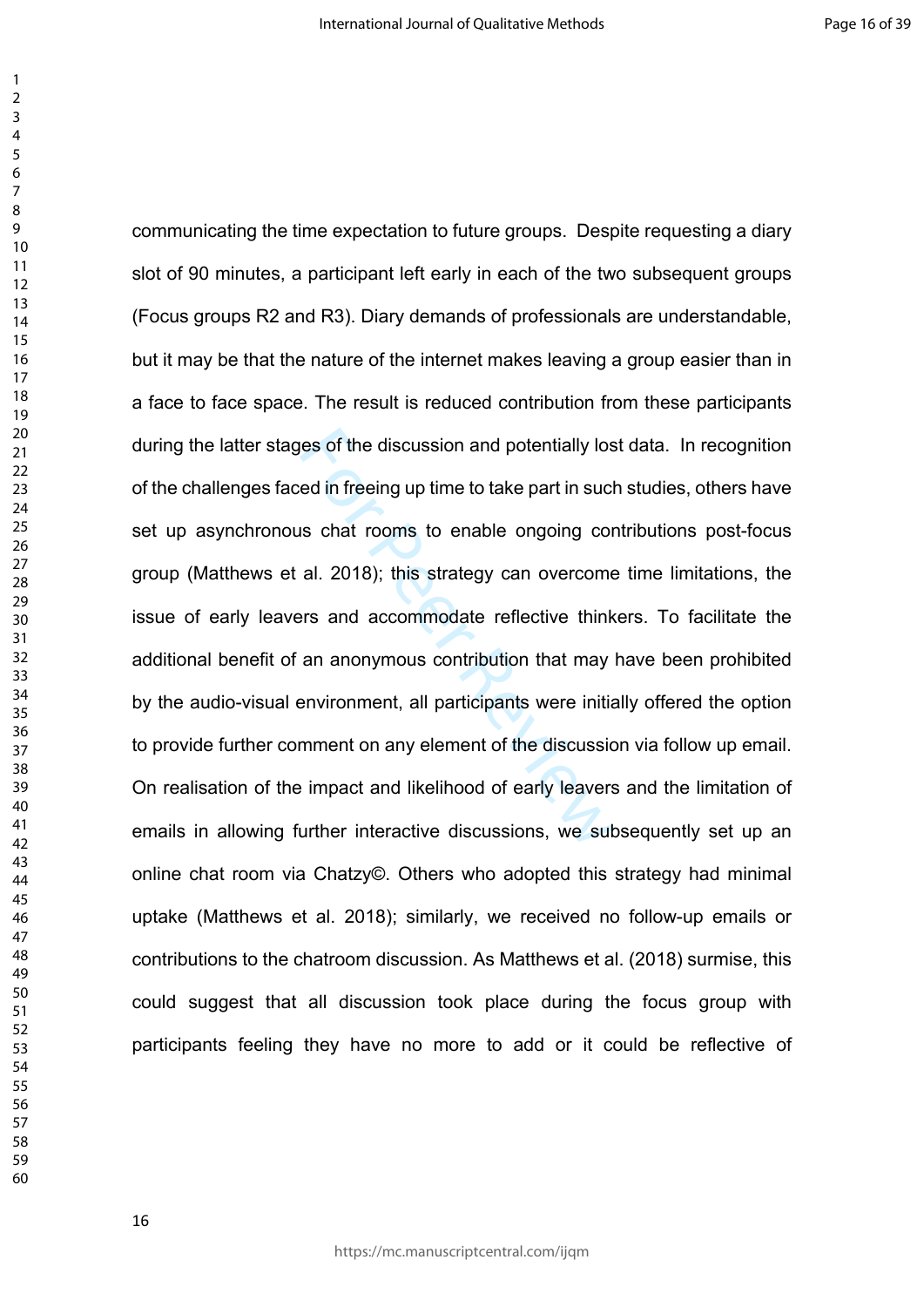res of the discussion and potentially lost<br>the din freeing up time to take part in suck<br>is chat rooms to enable ongoing corting and accommodate reflective think<br>an anonymous contribution that may<br>environment, all participa communicating the time expectation to future groups. Despite requesting a diary slot of 90 minutes, a participant left early in each of the two subsequent groups (Focus groups R2 and R3). Diary demands of professionals are understandable, but it may be that the nature of the internet makes leaving a group easier than in a face to face space. The result is reduced contribution from these participants during the latter stages of the discussion and potentially lost data. In recognition of the challenges faced in freeing up time to take part in such studies, others have set up asynchronous chat rooms to enable ongoing contributions post-focus group (Matthews et al. 2018); this strategy can overcome time limitations, the issue of early leavers and accommodate reflective thinkers. To facilitate the additional benefit of an anonymous contribution that may have been prohibited by the audio-visual environment, all participants were initially offered the option to provide further comment on any element of the discussion via follow up email. On realisation of the impact and likelihood of early leavers and the limitation of emails in allowing further interactive discussions, we subsequently set up an online chat room via Chatzy©. Others who adopted this strategy had minimal uptake (Matthews et al. 2018); similarly, we received no follow-up emails or contributions to the chatroom discussion. As Matthews et al. (2018) surmise, this could suggest that all discussion took place during the focus group with participants feeling they have no more to add or it could be reflective of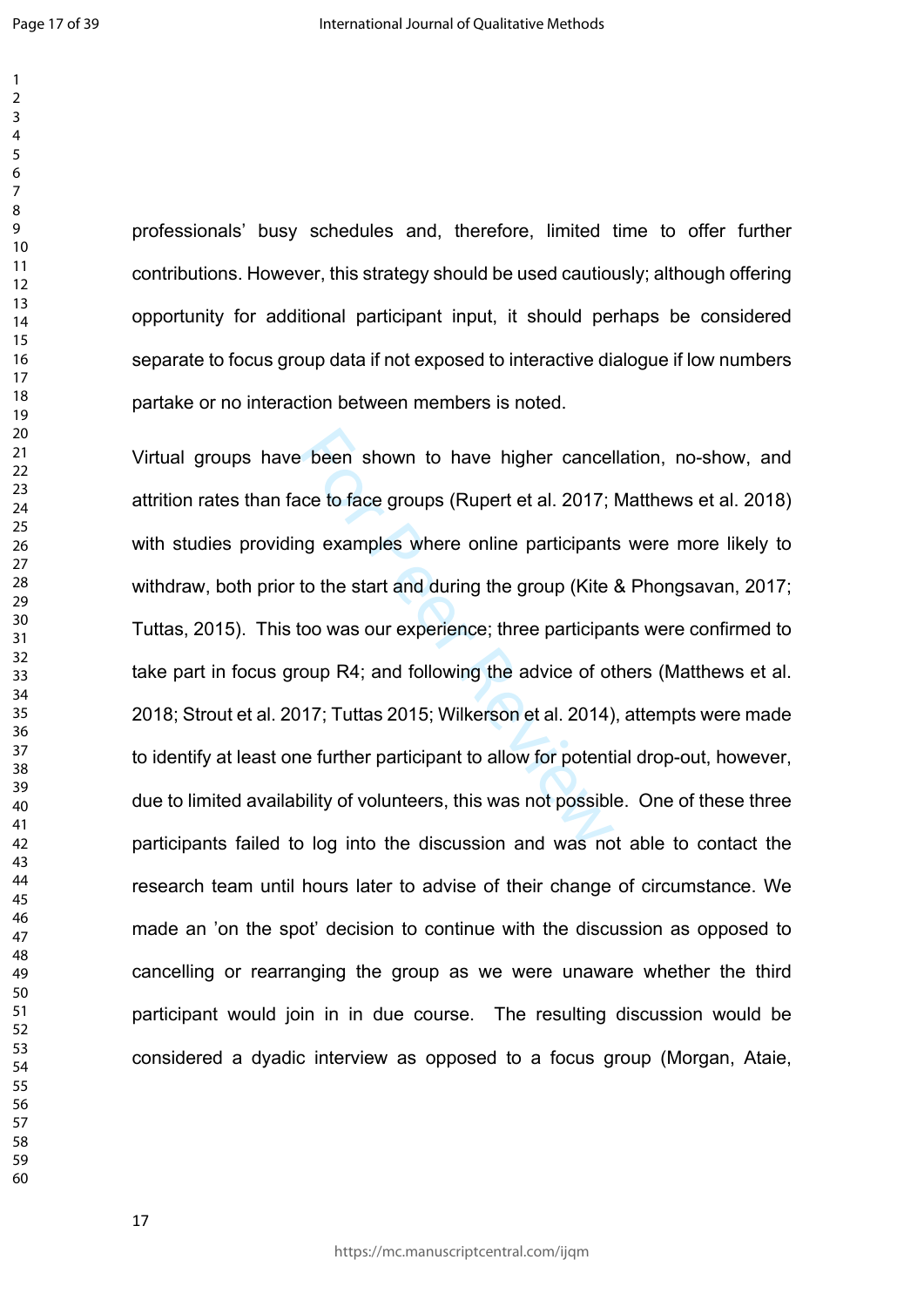$\mathbf{1}$ 

professionals' busy schedules and, therefore, limited time to offer further contributions. However, this strategy should be used cautiously; although offering opportunity for additional participant input, it should perhaps be considered separate to focus group data if not exposed to interactive dialogue if low numbers partake or no interaction between members is noted.

Exercise to face groups (Rupert et al. 2017;<br>the start and during the group (Kite<br>to the start and during the group (Kite<br>too was our experience; three participa<br>oup R4; and following the advice of ot<br>17; Tuttas 2015; Wilk Virtual groups have been shown to have higher cancellation, no-show, and attrition rates than face to face groups (Rupert et al. 2017; Matthews et al. 2018) with studies providing examples where online participants were more likely to withdraw, both prior to the start and during the group (Kite & Phongsavan, 2017; Tuttas, 2015). This too was our experience; three participants were confirmed to take part in focus group R4; and following the advice of others (Matthews et al. 2018; Strout et al. 2017; Tuttas 2015; Wilkerson et al. 2014), attempts were made to identify at least one further participant to allow for potential drop-out, however, due to limited availability of volunteers, this was not possible. One of these three participants failed to log into the discussion and was not able to contact the research team until hours later to advise of their change of circumstance. We made an 'on the spot' decision to continue with the discussion as opposed to cancelling or rearranging the group as we were unaware whether the third participant would join in in due course. The resulting discussion would be considered a dyadic interview as opposed to a focus group (Morgan, Ataie,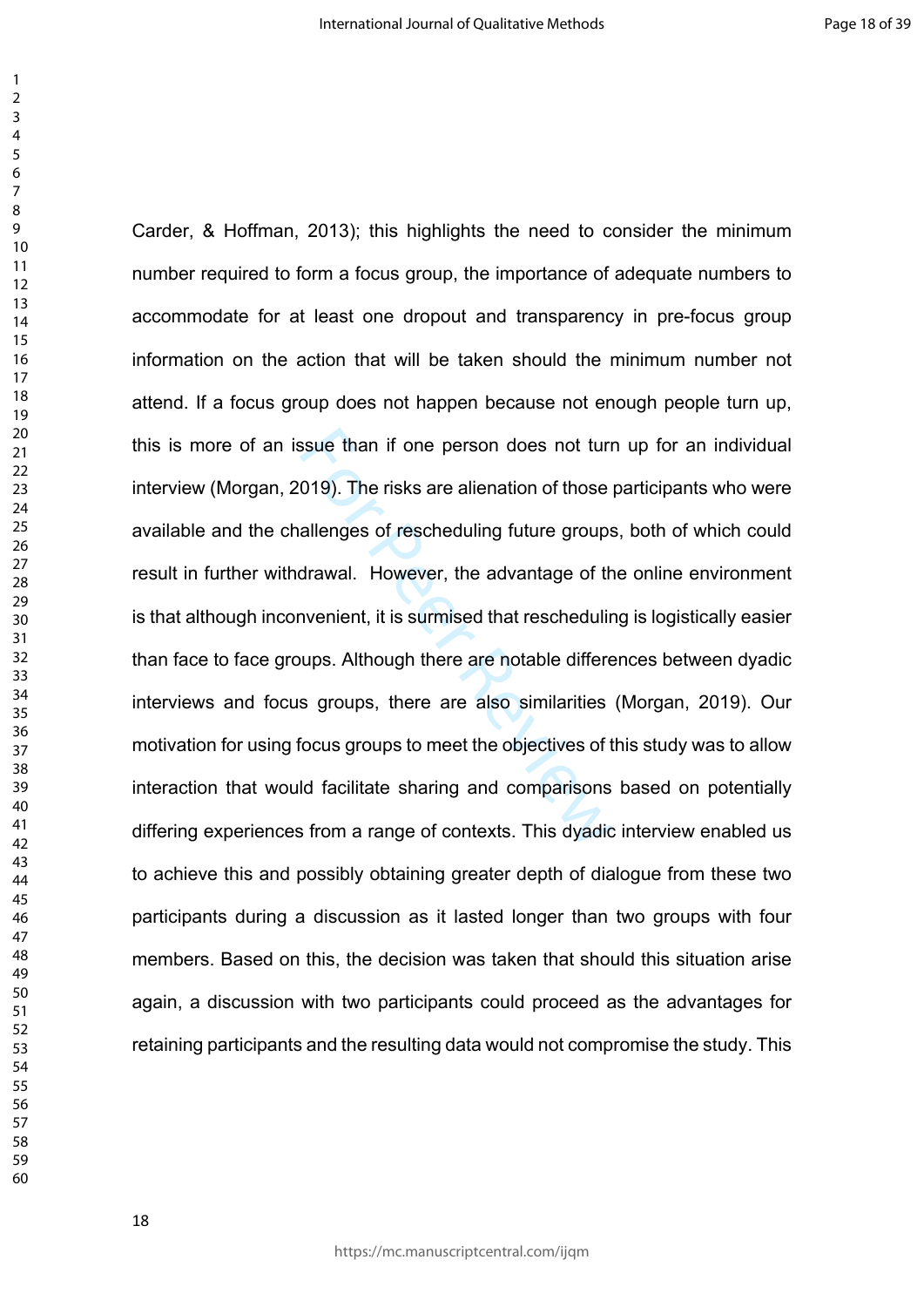ssue than if one person does not turn<br>019). The risks are alienation of those |<br>allenges of rescheduling future groups<br>drawal. However, the advantage of th<br>nvenient, it is surmised that reschedulin<br>ups. Although there are Carder, & Hoffman, 2013); this highlights the need to consider the minimum number required to form a focus group, the importance of adequate numbers to accommodate for at least one dropout and transparency in pre-focus group information on the action that will be taken should the minimum number not attend. If a focus group does not happen because not enough people turn up, this is more of an issue than if one person does not turn up for an individual interview (Morgan, 2019). The risks are alienation of those participants who were available and the challenges of rescheduling future groups, both of which could result in further withdrawal. However, the advantage of the online environment is that although inconvenient, it is surmised that rescheduling is logistically easier than face to face groups. Although there are notable differences between dyadic interviews and focus groups, there are also similarities (Morgan, 2019). Our motivation for using focus groups to meet the objectives of this study was to allow interaction that would facilitate sharing and comparisons based on potentially differing experiences from a range of contexts. This dyadic interview enabled us to achieve this and possibly obtaining greater depth of dialogue from these two participants during a discussion as it lasted longer than two groups with four members. Based on this, the decision was taken that should this situation arise again, a discussion with two participants could proceed as the advantages for retaining participants and the resulting data would not compromise the study. This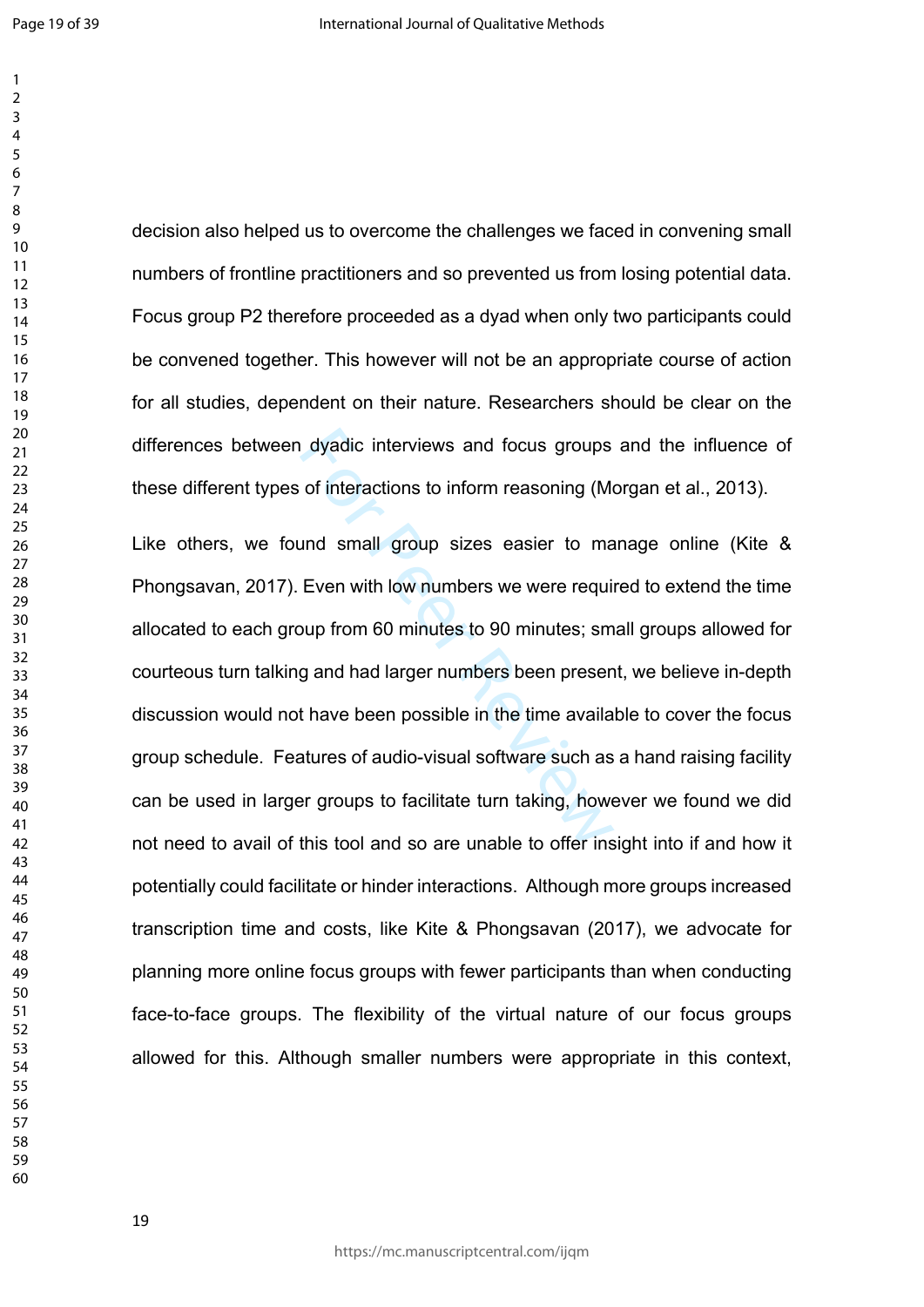dyadic interviews and focus groups<br>of interactions to inform reasoning (M<br>and small group sizes easier to ma<br>Even with low numbers we were requi<br>pup from 60 minutes to 90 minutes; sm<br>g and had larger numbers been preser<br>t decision also helped us to overcome the challenges we faced in convening small numbers of frontline practitioners and so prevented us from losing potential data. Focus group P2 therefore proceeded as a dyad when only two participants could be convened together. This however will not be an appropriate course of action for all studies, dependent on their nature. Researchers should be clear on the differences between dyadic interviews and focus groups and the influence of these different types of interactions to inform reasoning (Morgan et al., 2013). Like others, we found small group sizes easier to manage online (Kite & Phongsavan, 2017). Even with low numbers we were required to extend the time allocated to each group from 60 minutes to 90 minutes; small groups allowed for courteous turn talking and had larger numbers been present, we believe in-depth discussion would not have been possible in the time available to cover the focus group schedule. Features of audio-visual software such as a hand raising facility can be used in larger groups to facilitate turn taking, however we found we did not need to avail of this tool and so are unable to offer insight into if and how it potentially could facilitate or hinder interactions. Although more groups increased transcription time and costs, like Kite & Phongsavan (2017), we advocate for planning more online focus groups with fewer participants than when conducting face-to-face groups. The flexibility of the virtual nature of our focus groups

allowed for this. Although smaller numbers were appropriate in this context,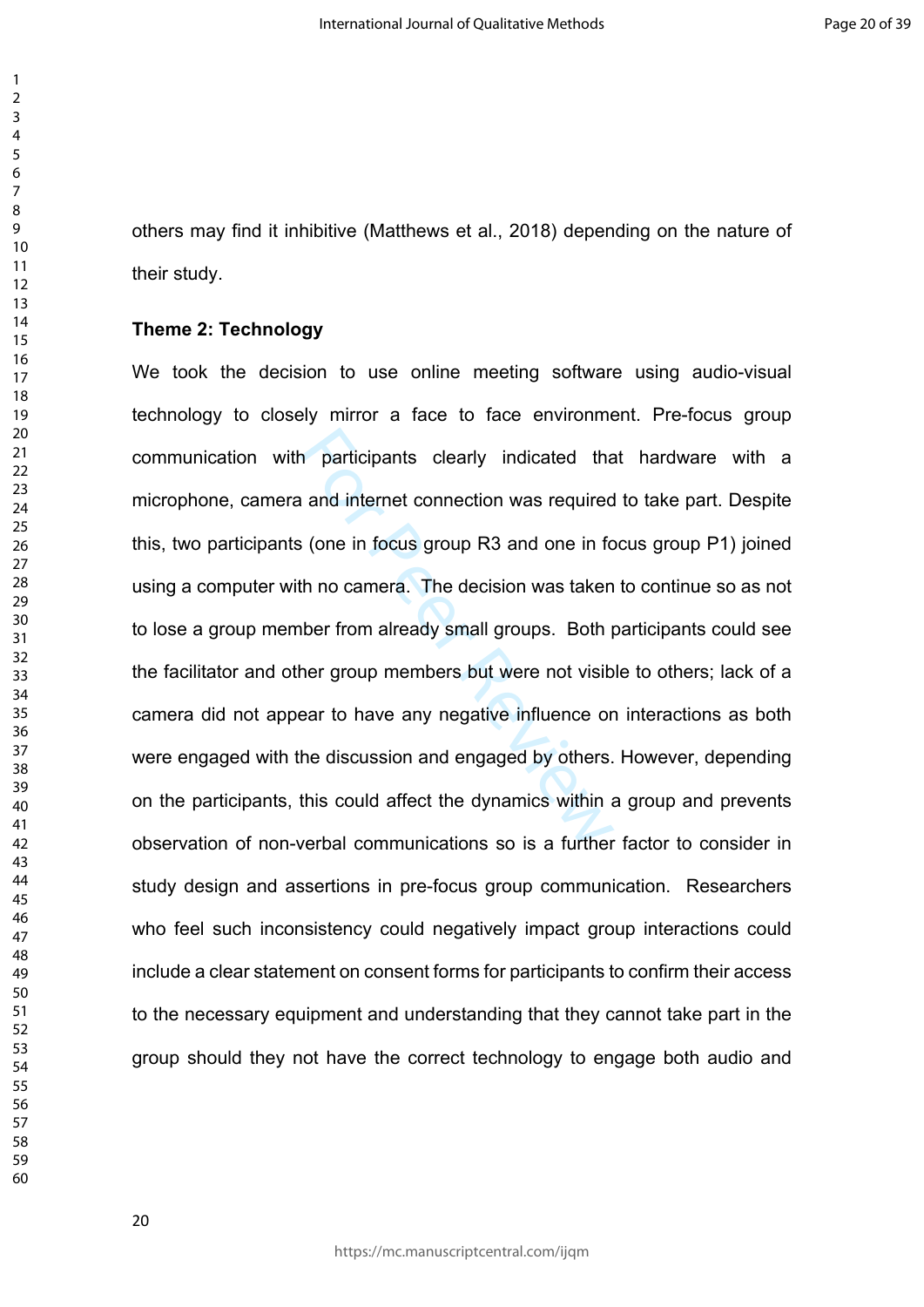others may find it inhibitive (Matthews et al., 2018) depending on the nature of their study.

### **Theme 2: Technology**

n participants clearly indicated that<br>and internet connection was required<br>is (one in focus group R3 and one in for<br>th no camera. The decision was taken<br>ther from already small groups. Both p<br>her group members but were not We took the decision to use online meeting software using audio-visual technology to closely mirror a face to face environment. Pre-focus group communication with participants clearly indicated that hardware with a microphone, camera and internet connection was required to take part. Despite this, two participants (one in focus group R3 and one in focus group P1) joined using a computer with no camera. The decision was taken to continue so as not to lose a group member from already small groups. Both participants could see the facilitator and other group members but were not visible to others; lack of a camera did not appear to have any negative influence on interactions as both were engaged with the discussion and engaged by others. However, depending on the participants, this could affect the dynamics within a group and prevents observation of non-verbal communications so is a further factor to consider in study design and assertions in pre-focus group communication. Researchers who feel such inconsistency could negatively impact group interactions could include a clear statement on consent forms for participants to confirm their access to the necessary equipment and understanding that they cannot take part in the group should they not have the correct technology to engage both audio and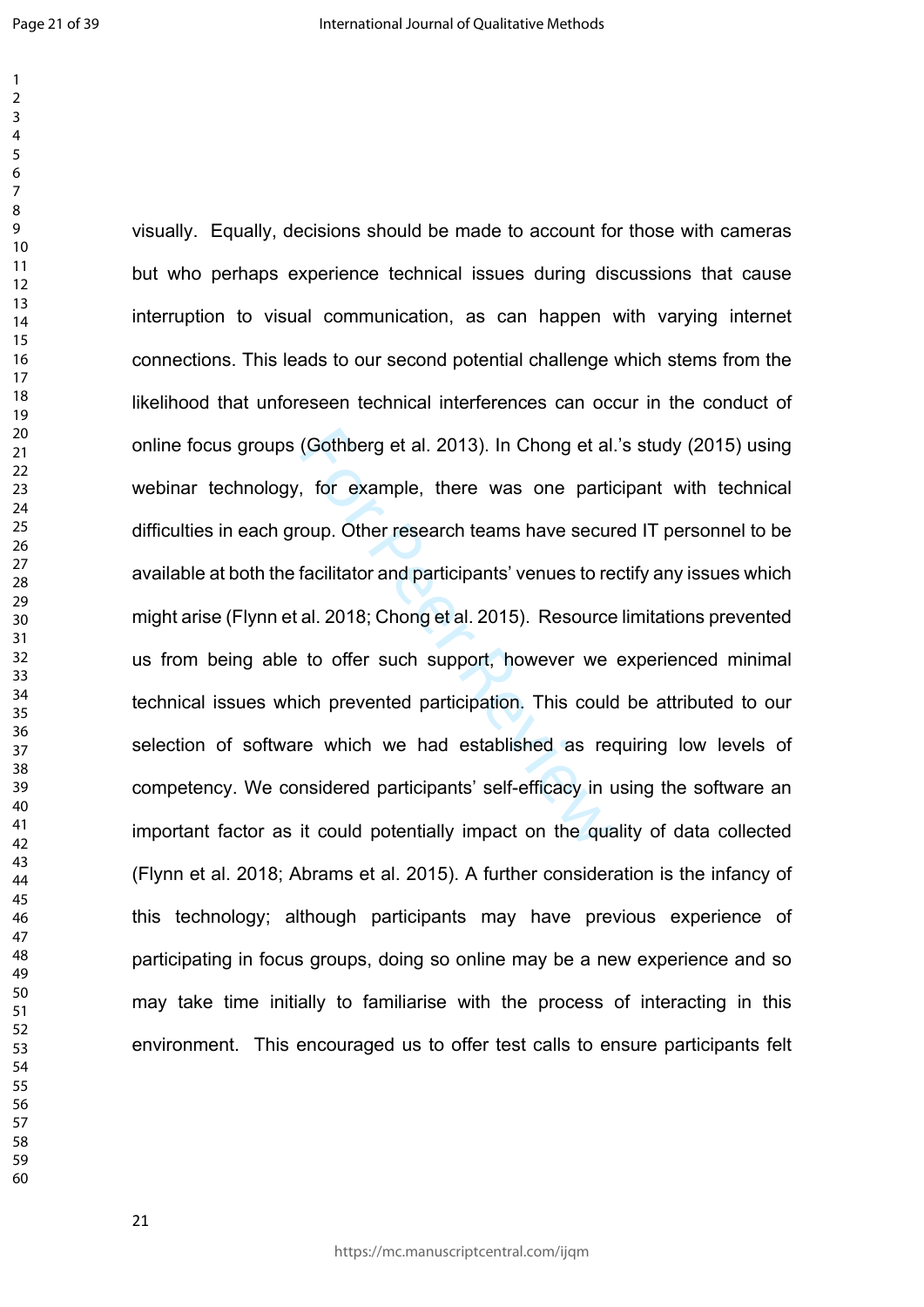$\mathbf{1}$ 

(Gothberg et al. 2013). In Chong et al<br>, for example, there was one partic<br>oup. Other research teams have secure<br>facilitator and participants' venues to re<br>al. 2018; Chong et al. 2015). Resource<br>to offer such support, howe visually. Equally, decisions should be made to account for those with cameras but who perhaps experience technical issues during discussions that cause interruption to visual communication, as can happen with varying internet connections. This leads to our second potential challenge which stems from the likelihood that unforeseen technical interferences can occur in the conduct of online focus groups (Gothberg et al. 2013). In Chong et al.'s study (2015) using webinar technology, for example, there was one participant with technical difficulties in each group. Other research teams have secured IT personnel to be available at both the facilitator and participants' venues to rectify any issues which might arise (Flynn et al. 2018; Chong et al. 2015). Resource limitations prevented us from being able to offer such support, however we experienced minimal technical issues which prevented participation. This could be attributed to our selection of software which we had established as requiring low levels of competency. We considered participants' self-efficacy in using the software an important factor as it could potentially impact on the quality of data collected (Flynn et al. 2018; Abrams et al. 2015). A further consideration is the infancy of this technology; although participants may have previous experience of participating in focus groups, doing so online may be a new experience and so may take time initially to familiarise with the process of interacting in this environment. This encouraged us to offer test calls to ensure participants felt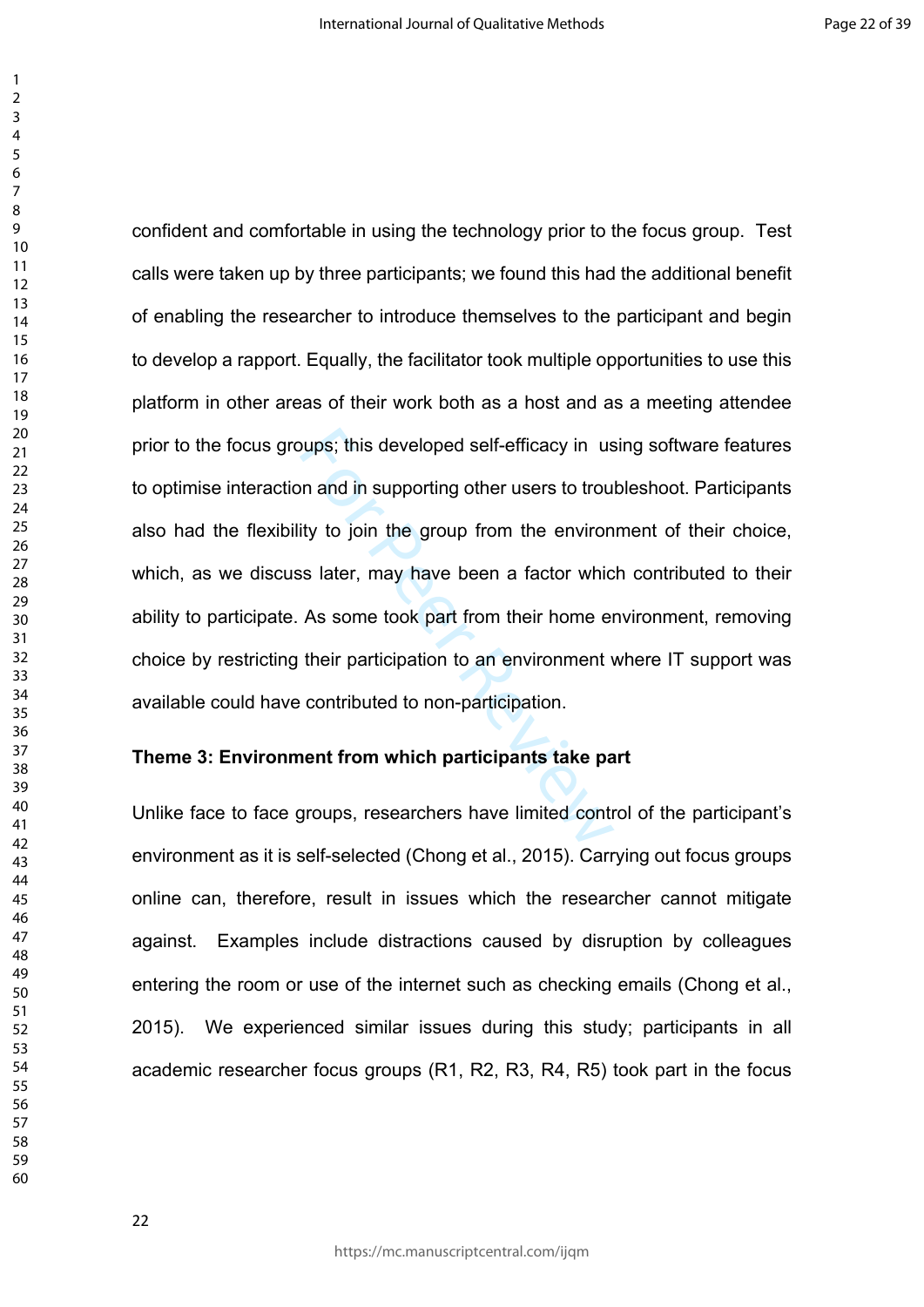> bups; this developed self-efficacy in us<br>on and in supporting other users to trou<br>ity to join the group from the environ<br>is later, may have been a factor whic<br>As some took part from their home et<br>their participation to an confident and comfortable in using the technology prior to the focus group. Test calls were taken up by three participants; we found this had the additional benefit of enabling the researcher to introduce themselves to the participant and begin to develop a rapport. Equally, the facilitator took multiple opportunities to use this platform in other areas of their work both as a host and as a meeting attendee prior to the focus groups; this developed self-efficacy in using software features to optimise interaction and in supporting other users to troubleshoot. Participants also had the flexibility to join the group from the environment of their choice, which, as we discuss later, may have been a factor which contributed to their ability to participate. As some took part from their home environment, removing choice by restricting their participation to an environment where IT support was available could have contributed to non-participation.

# **Theme 3: Environment from which participants take part**

Unlike face to face groups, researchers have limited control of the participant's environment as it is self-selected (Chong et al., 2015). Carrying out focus groups online can, therefore, result in issues which the researcher cannot mitigate against. Examples include distractions caused by disruption by colleagues entering the room or use of the internet such as checking emails (Chong et al., 2015). We experienced similar issues during this study; participants in all academic researcher focus groups (R1, R2, R3, R4, R5) took part in the focus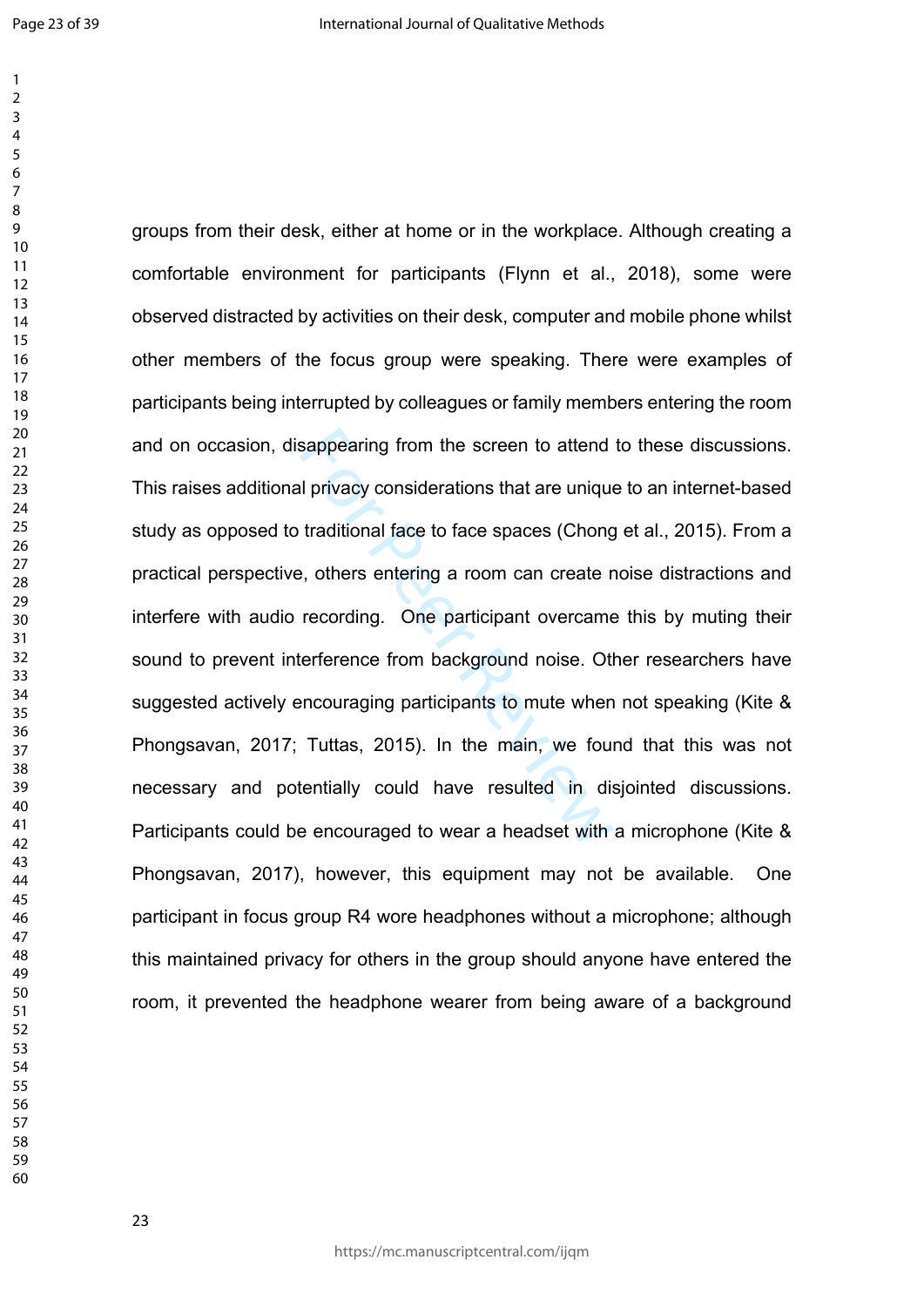$\mathbf{1}$ 

sappearing from the screen to attend<br>Il privacy considerations that are unique<br>traditional face to face spaces (Chong<br>e, others entering a room can create r<br>recording. One participant overcame<br>terference from background no groups from their desk, either at home or in the workplace. Although creating a comfortable environment for participants (Flynn et al., 2018), some were observed distracted by activities on their desk, computer and mobile phone whilst other members of the focus group were speaking. There were examples of participants being interrupted by colleagues or family members entering the room and on occasion, disappearing from the screen to attend to these discussions. This raises additional privacy considerations that are unique to an internet-based study as opposed to traditional face to face spaces (Chong et al., 2015). From a practical perspective, others entering a room can create noise distractions and interfere with audio recording. One participant overcame this by muting their sound to prevent interference from background noise. Other researchers have suggested actively encouraging participants to mute when not speaking (Kite & Phongsavan, 2017; Tuttas, 2015). In the main, we found that this was not necessary and potentially could have resulted in disjointed discussions. Participants could be encouraged to wear a headset with a microphone (Kite & Phongsavan, 2017), however, this equipment may not be available. One participant in focus group R4 wore headphones without a microphone; although this maintained privacy for others in the group should anyone have entered the room, it prevented the headphone wearer from being aware of a background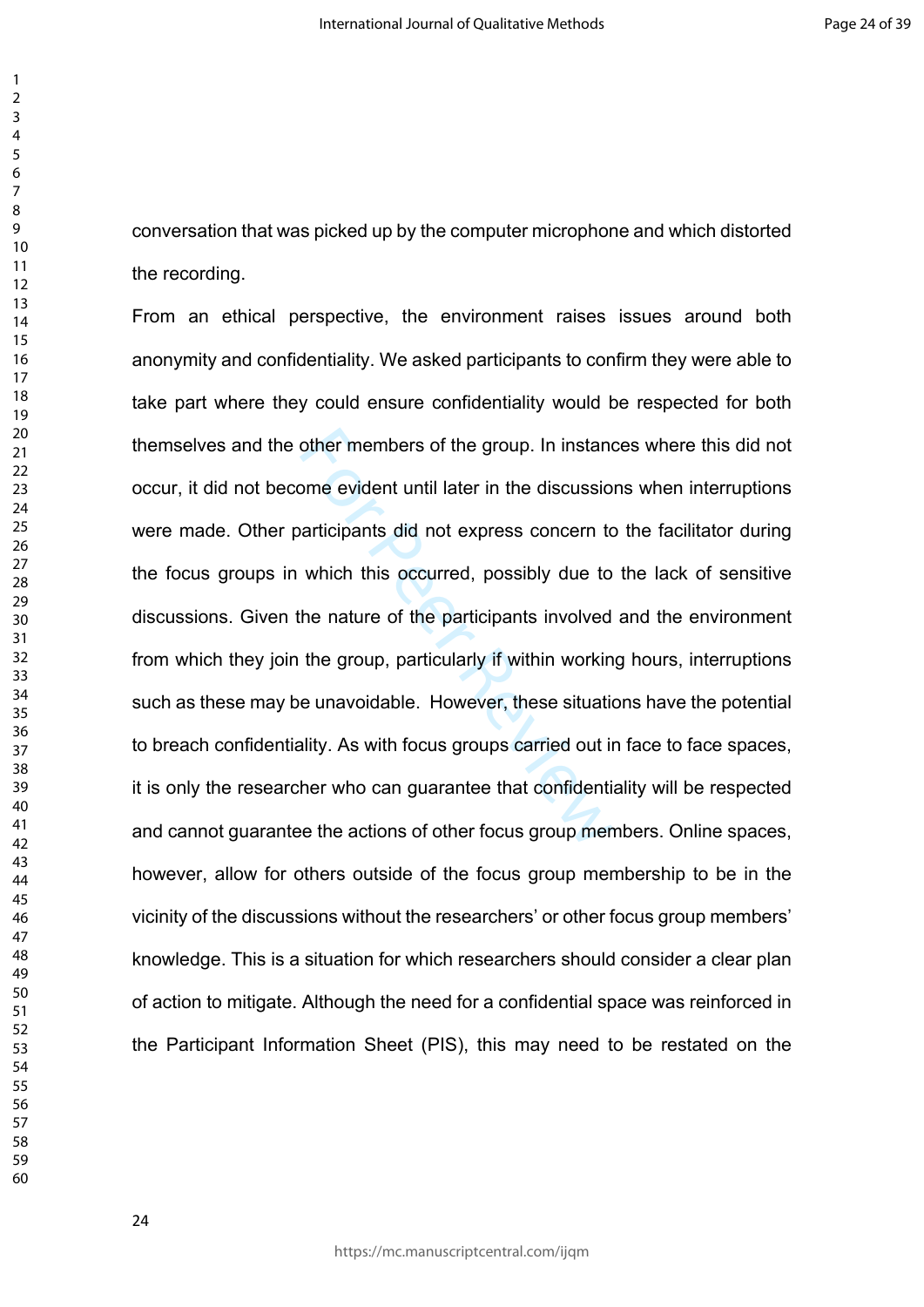conversation that was picked up by the computer microphone and which distorted the recording.

other members of the group. In instand<br>ome evident until later in the discussio<br>articipants did not express concern to<br>which this occurred, possibly due to<br>the nature of the participants involved<br>the group, particularly if From an ethical perspective, the environment raises issues around both anonymity and confidentiality. We asked participants to confirm they were able to take part where they could ensure confidentiality would be respected for both themselves and the other members of the group. In instances where this did not occur, it did not become evident until later in the discussions when interruptions were made. Other participants did not express concern to the facilitator during the focus groups in which this occurred, possibly due to the lack of sensitive discussions. Given the nature of the participants involved and the environment from which they join the group, particularly if within working hours, interruptions such as these may be unavoidable. However, these situations have the potential to breach confidentiality. As with focus groups carried out in face to face spaces, it is only the researcher who can guarantee that confidentiality will be respected and cannot guarantee the actions of other focus group members. Online spaces, however, allow for others outside of the focus group membership to be in the vicinity of the discussions without the researchers' or other focus group members' knowledge. This is a situation for which researchers should consider a clear plan of action to mitigate. Although the need for a confidential space was reinforced in the Participant Information Sheet (PIS), this may need to be restated on the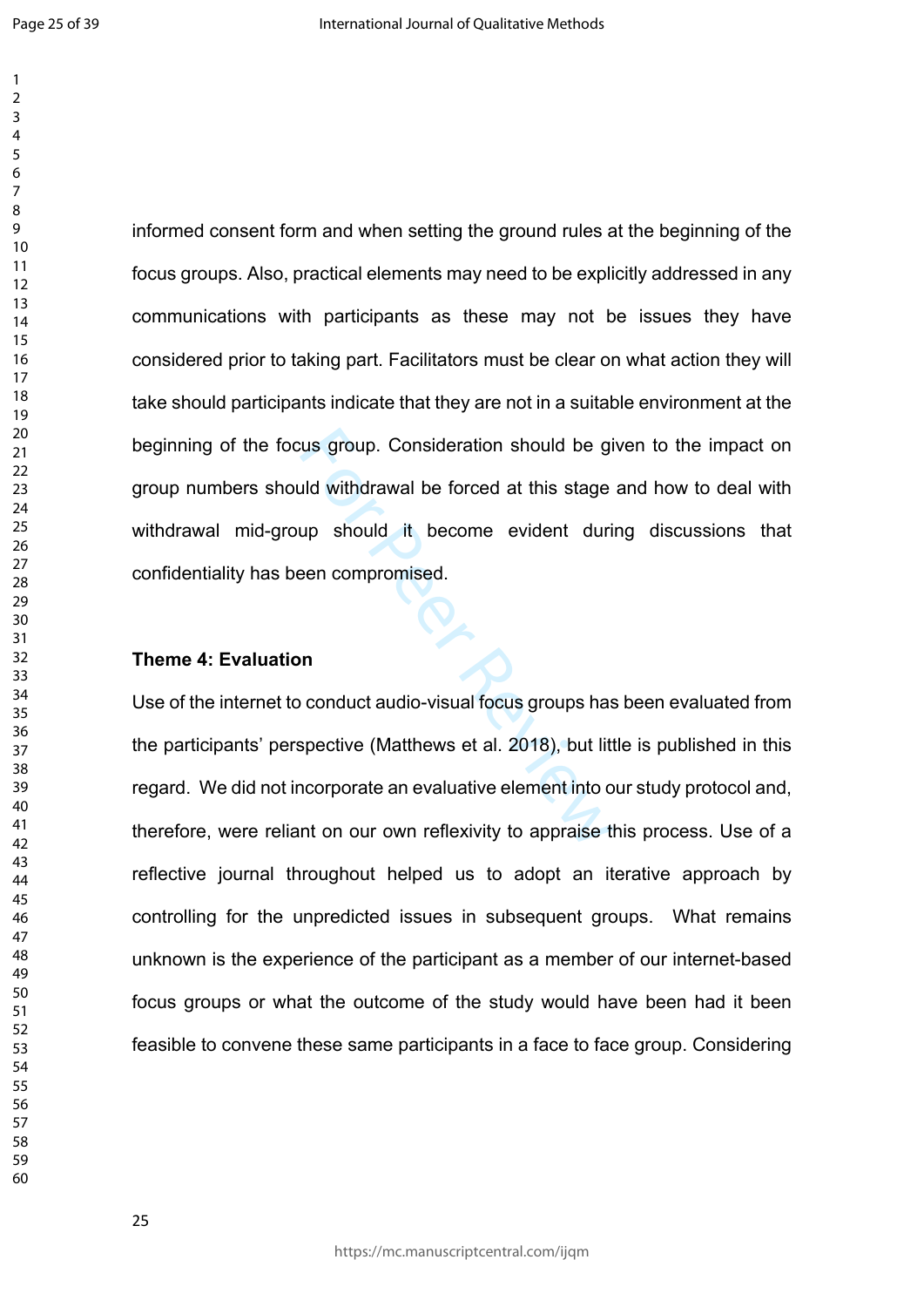informed consent form and when setting the ground rules at the beginning of the focus groups. Also, practical elements may need to be explicitly addressed in any communications with participants as these may not be issues they have considered prior to taking part. Facilitators must be clear on what action they will take should participants indicate that they are not in a suitable environment at the beginning of the focus group. Consideration should be given to the impact on group numbers should withdrawal be forced at this stage and how to deal with withdrawal mid-group should it become evident during discussions that confidentiality has been compromised.

### **Theme 4: Evaluation**

State of the given the given the given the given the given the state<br>that with drawal be forced at this stage<br>the should it become evident during<br>the compromised.<br>The computed compares an evaluative element into ont on our Use of the internet to conduct audio-visual focus groups has been evaluated from the participants' perspective (Matthews et al. 2018), but little is published in this regard. We did not incorporate an evaluative element into our study protocol and, therefore, were reliant on our own reflexivity to appraise this process. Use of a reflective journal throughout helped us to adopt an iterative approach by controlling for the unpredicted issues in subsequent groups. What remains unknown is the experience of the participant as a member of our internet-based focus groups or what the outcome of the study would have been had it been feasible to convene these same participants in a face to face group. Considering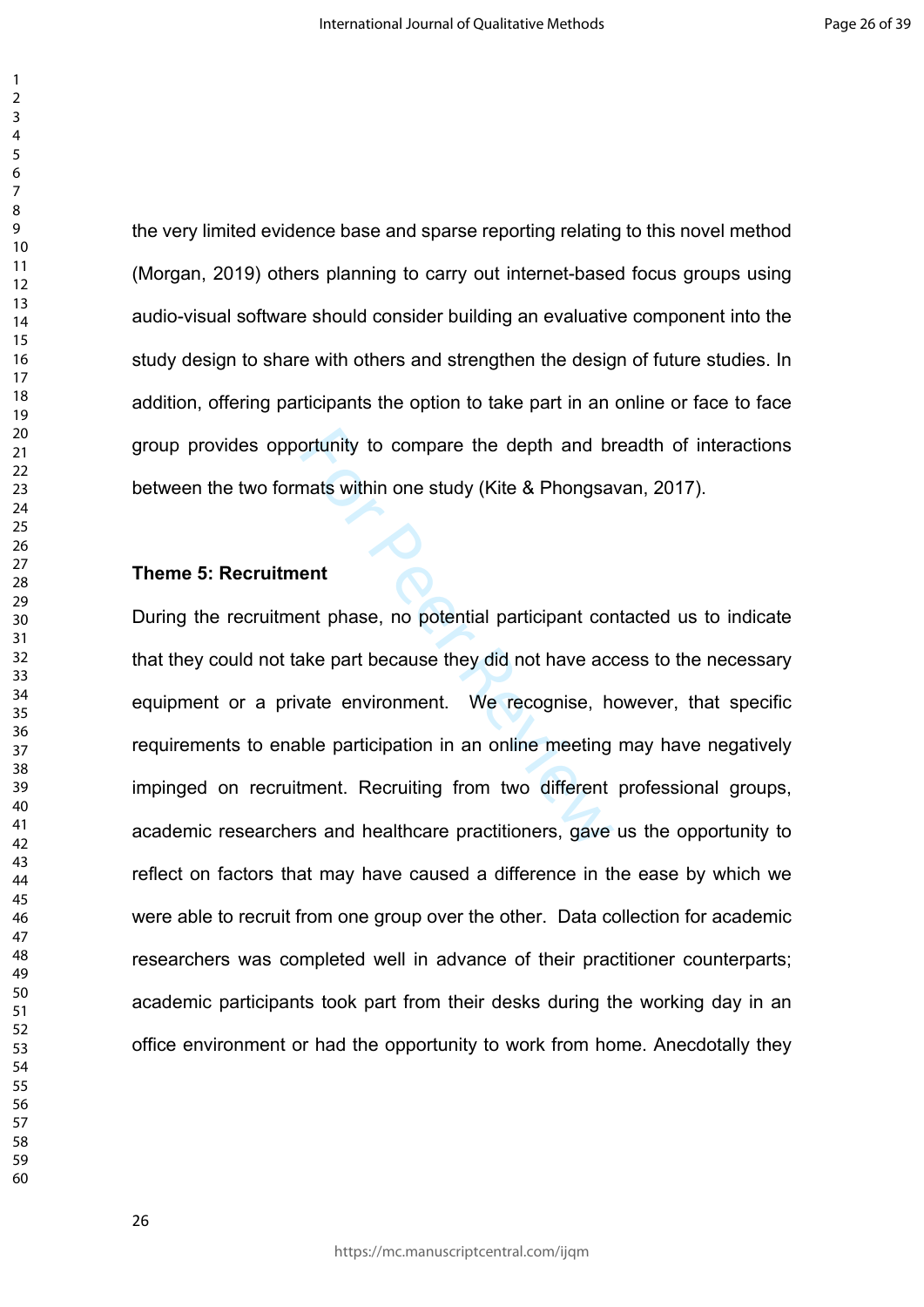the very limited evidence base and sparse reporting relating to this novel method (Morgan, 2019) others planning to carry out internet-based focus groups using audio-visual software should consider building an evaluative component into the study design to share with others and strengthen the design of future studies. In addition, offering participants the option to take part in an online or face to face group provides opportunity to compare the depth and breadth of interactions between the two formats within one study (Kite & Phongsavan, 2017).

### **Theme 5: Recruitment**

ortunity to compare the depth and br<br>
mats within one study (Kite & Phongsa<br>
ent<br>
ent<br>
ent<br>
passe, no potential participant cor<br>
ake part because they did not have acc<br>
vate environment. We recognise, h<br>
ble participation During the recruitment phase, no potential participant contacted us to indicate that they could not take part because they did not have access to the necessary equipment or a private environment. We recognise, however, that specific requirements to enable participation in an online meeting may have negatively impinged on recruitment. Recruiting from two different professional groups, academic researchers and healthcare practitioners, gave us the opportunity to reflect on factors that may have caused a difference in the ease by which we were able to recruit from one group over the other. Data collection for academic researchers was completed well in advance of their practitioner counterparts; academic participants took part from their desks during the working day in an office environment or had the opportunity to work from home. Anecdotally they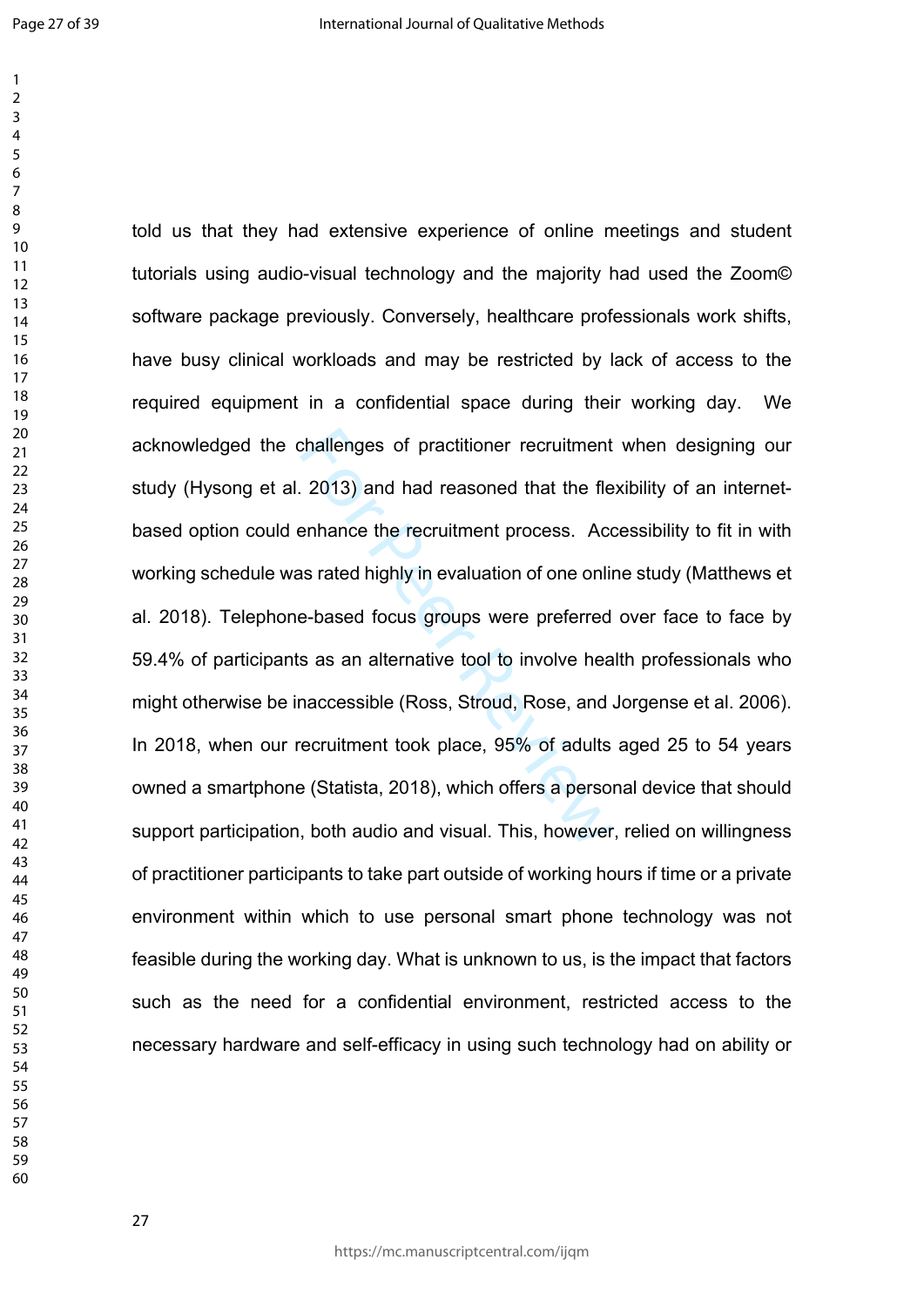$\mathbf{1}$ 

challenges of practitioner recruitment<br>2013) and had reasoned that the fle<br>enhance the recruitment process. Acc<br>as rated highly in evaluation of one online-based focus groups were preferred<br>s as an alternative tool to invo told us that they had extensive experience of online meetings and student tutorials using audio-visual technology and the majority had used the Zoom© software package previously. Conversely, healthcare professionals work shifts, have busy clinical workloads and may be restricted by lack of access to the required equipment in a confidential space during their working day. We acknowledged the challenges of practitioner recruitment when designing our study (Hysong et al. 2013) and had reasoned that the flexibility of an internetbased option could enhance the recruitment process. Accessibility to fit in with working schedule was rated highly in evaluation of one online study (Matthews et al. 2018). Telephone-based focus groups were preferred over face to face by 59.4% of participants as an alternative tool to involve health professionals who might otherwise be inaccessible (Ross, Stroud, Rose, and Jorgense et al. 2006). In 2018, when our recruitment took place, 95% of adults aged 25 to 54 years owned a smartphone (Statista, 2018), which offers a personal device that should support participation, both audio and visual. This, however, relied on willingness of practitioner participants to take part outside of working hours if time or a private environment within which to use personal smart phone technology was not feasible during the working day. What is unknown to us, is the impact that factors such as the need for a confidential environment, restricted access to the necessary hardware and self-efficacy in using such technology had on ability or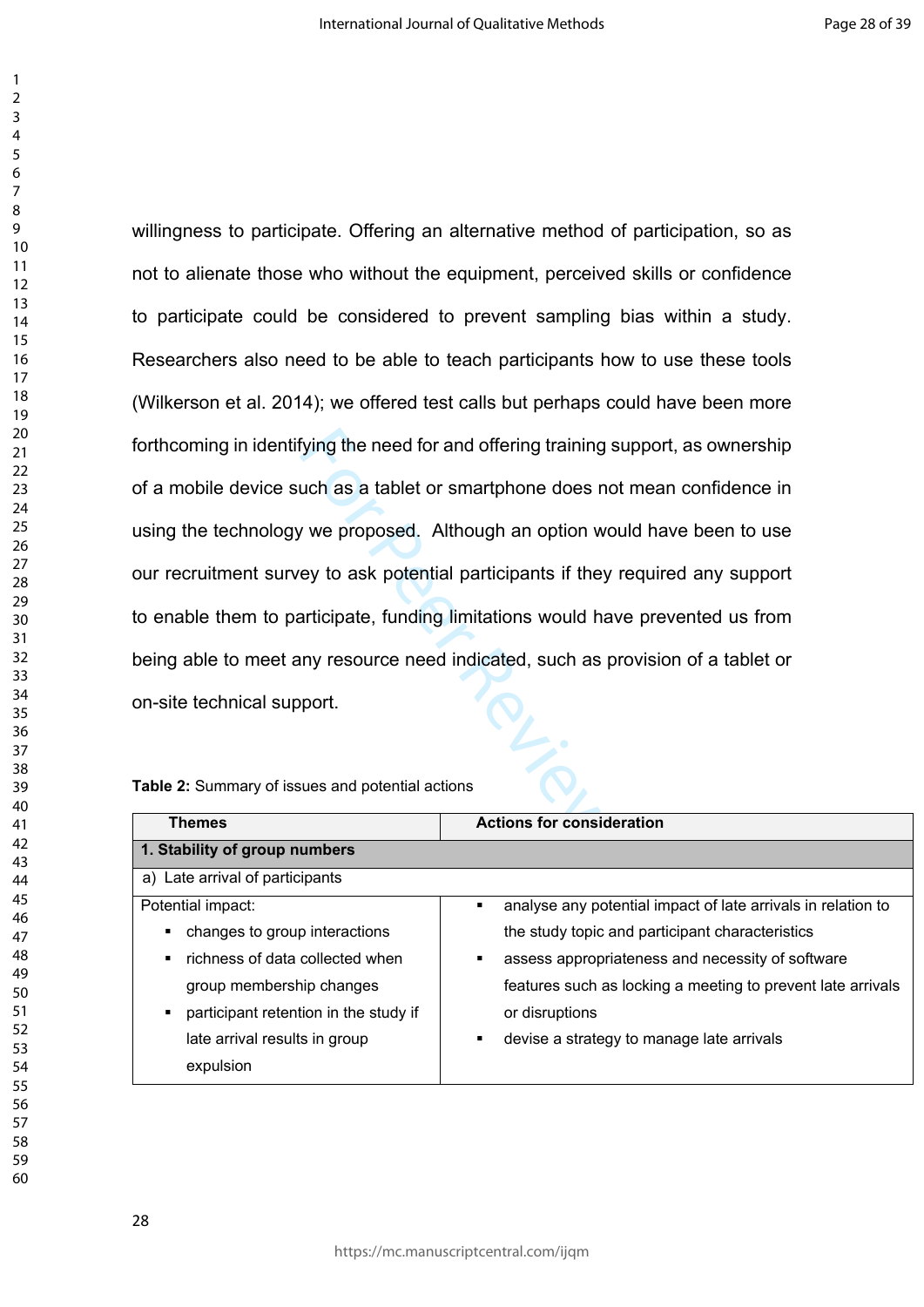> Fying the need for and offering training s<br>
> uch as a tablet or smartphone does no<br>
> v we proposed. Although an option we<br>
> ey to ask potential participants if they<br>
> articipate, funding limitations would ha<br>
> in my resource ne willingness to participate. Offering an alternative method of participation, so as not to alienate those who without the equipment, perceived skills or confidence to participate could be considered to prevent sampling bias within a study. Researchers also need to be able to teach participants how to use these tools (Wilkerson et al. 2014); we offered test calls but perhaps could have been more forthcoming in identifying the need for and offering training support, as ownership of a mobile device such as a tablet or smartphone does not mean confidence in using the technology we proposed. Although an option would have been to use our recruitment survey to ask potential participants if they required any support to enable them to participate, funding limitations would have prevented us from being able to meet any resource need indicated, such as provision of a tablet or on-site technical support.

### **Table 2:** Summary of issues and potential actions

| <b>Themes</b>                                     | <b>Actions for consideration</b>                                  |  |
|---------------------------------------------------|-------------------------------------------------------------------|--|
| 1. Stability of group numbers                     |                                                                   |  |
| a) Late arrival of participants                   |                                                                   |  |
| Potential impact:                                 | analyse any potential impact of late arrivals in relation to<br>٠ |  |
| changes to group interactions                     | the study topic and participant characteristics                   |  |
| richness of data collected when<br>$\blacksquare$ | assess appropriateness and necessity of software<br>٠             |  |
| group membership changes                          | features such as locking a meeting to prevent late arrivals       |  |
| participant retention in the study if<br>٠        | or disruptions                                                    |  |
| late arrival results in group                     | devise a strategy to manage late arrivals                         |  |
| expulsion                                         |                                                                   |  |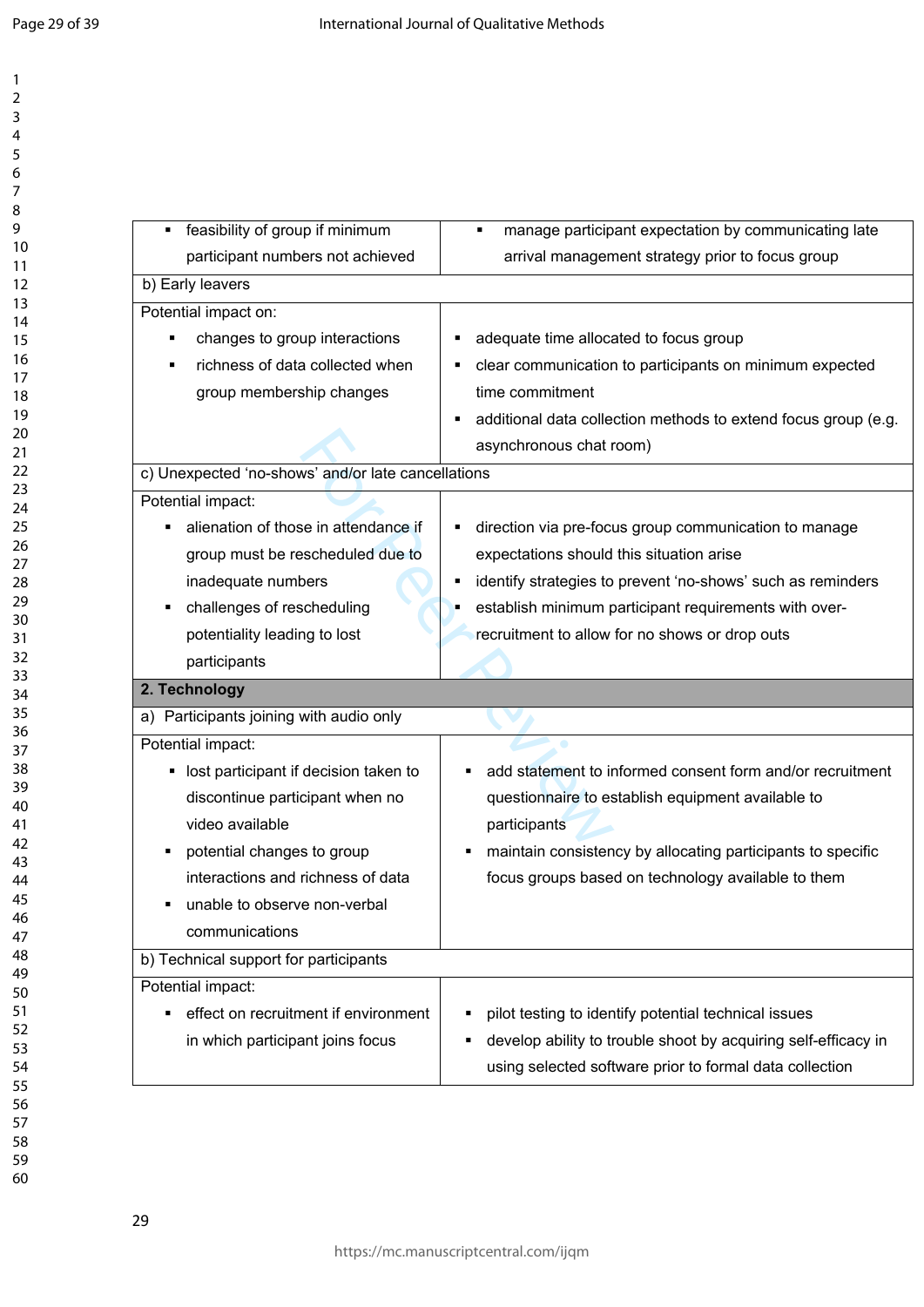| feasibility of group if minimum                    | manage participant expectation by communicating late             |
|----------------------------------------------------|------------------------------------------------------------------|
| participant numbers not achieved                   | arrival management strategy prior to focus group                 |
| b) Early leavers                                   |                                                                  |
| Potential impact on:                               |                                                                  |
| changes to group interactions<br>п                 | adequate time allocated to focus group                           |
| richness of data collected when                    | clear communication to participants on minimum expected          |
| group membership changes                           | time commitment                                                  |
|                                                    | additional data collection methods to extend focus group (e.g.   |
|                                                    | asynchronous chat room)                                          |
| c) Unexpected 'no-shows' and/or late cancellations |                                                                  |
| Potential impact:                                  |                                                                  |
| alienation of those in attendance if               | direction via pre-focus group communication to manage            |
| group must be rescheduled due to                   | expectations should this situation arise                         |
| inadequate numbers                                 | identify strategies to prevent 'no-shows' such as reminders<br>٠ |
| challenges of rescheduling<br>٠                    | establish minimum participant requirements with over-            |
| potentiality leading to lost                       | recruitment to allow for no shows or drop outs                   |
| participants                                       |                                                                  |
| 2. Technology                                      |                                                                  |
| a) Participants joining with audio only            |                                                                  |
| Potential impact:                                  |                                                                  |
| lost participant if decision taken to<br>٠         | add statement to informed consent form and/or recruitment        |
| discontinue participant when no                    | questionnaire to establish equipment available to                |
| video available                                    | participants                                                     |
| potential changes to group                         | maintain consistency by allocating participants to specific      |
| interactions and richness of data                  | focus groups based on technology available to them               |
| unable to observe non-verbal                       |                                                                  |
| communications                                     |                                                                  |
| b) Technical support for participants              |                                                                  |
| Potential impact:                                  |                                                                  |
| effect on recruitment if environment<br>٠          | pilot testing to identify potential technical issues             |
|                                                    |                                                                  |
| in which participant joins focus                   | develop ability to trouble shoot by acquiring self-efficacy in   |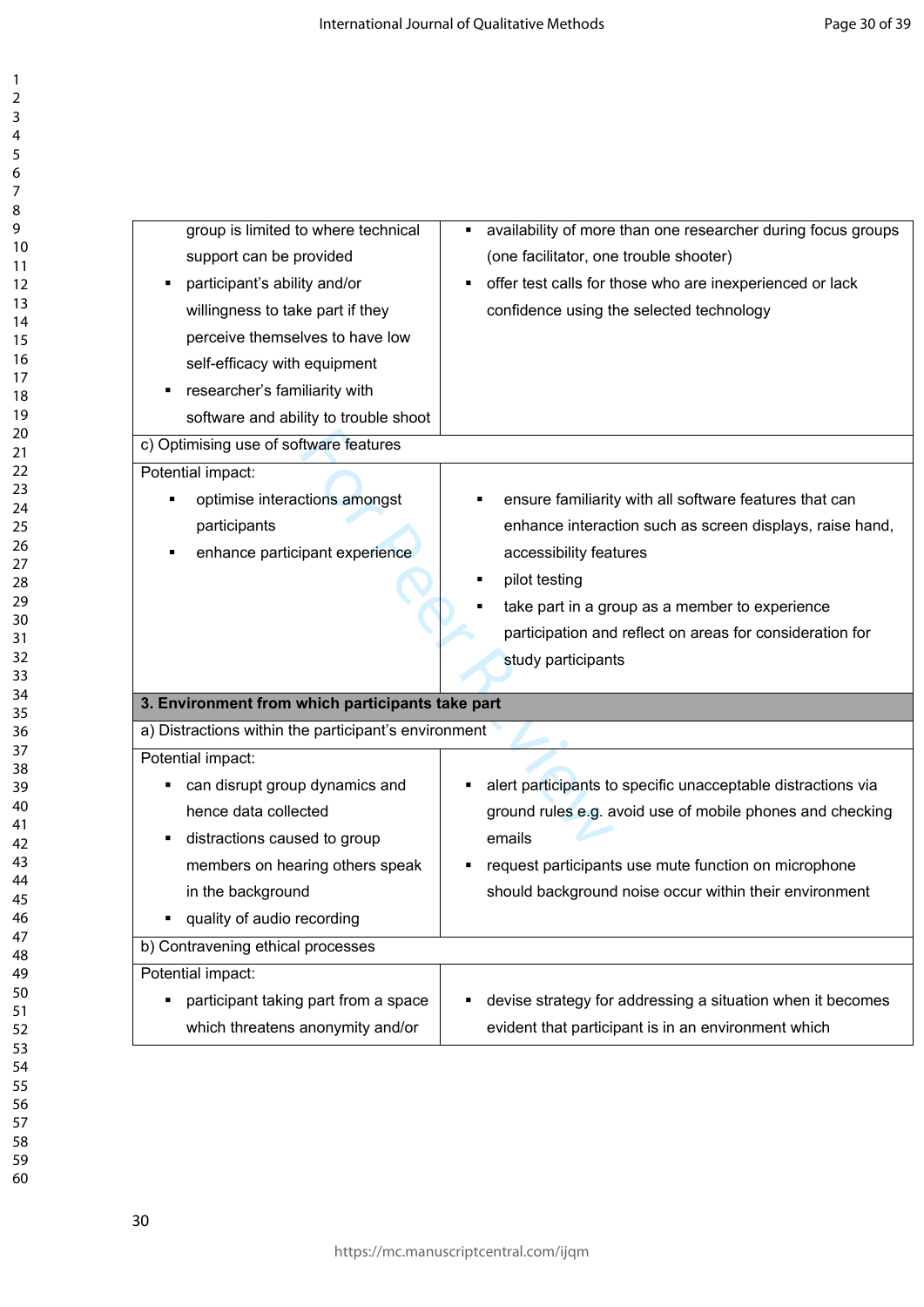| group is limited to where technical                  | availability of more than one researcher during focus groups<br>٠ |
|------------------------------------------------------|-------------------------------------------------------------------|
|                                                      |                                                                   |
| support can be provided                              | (one facilitator, one trouble shooter)                            |
| participant's ability and/or                         | offer test calls for those who are inexperienced or lack<br>٠     |
| willingness to take part if they                     | confidence using the selected technology                          |
| perceive themselves to have low                      |                                                                   |
| self-efficacy with equipment                         |                                                                   |
| researcher's familiarity with                        |                                                                   |
| software and ability to trouble shoot                |                                                                   |
| c) Optimising use of software features               |                                                                   |
| Potential impact:                                    |                                                                   |
| optimise interactions amongst                        | ensure familiarity with all software features that can            |
| participants                                         | enhance interaction such as screen displays, raise hand,          |
| enhance participant experience                       | accessibility features                                            |
|                                                      | pilot testing                                                     |
|                                                      | take part in a group as a member to experience                    |
|                                                      | participation and reflect on areas for consideration for          |
|                                                      | study participants                                                |
|                                                      |                                                                   |
| 3. Environment from which participants take part     |                                                                   |
| a) Distractions within the participant's environment |                                                                   |
| Potential impact:                                    |                                                                   |
| can disrupt group dynamics and                       | alert participants to specific unacceptable distractions via      |
| hence data collected                                 | ground rules e.g. avoid use of mobile phones and checking         |
| distractions caused to group                         | emails                                                            |
| members on hearing others speak                      | request participants use mute function on microphone              |
| in the background                                    | should background noise occur within their environment            |
| quality of audio recording<br>٠                      |                                                                   |
| b) Contravening ethical processes                    |                                                                   |
| Potential impact:                                    |                                                                   |
| participant taking part from a space                 | devise strategy for addressing a situation when it becomes        |
| which threatens anonymity and/or                     | evident that participant is in an environment which               |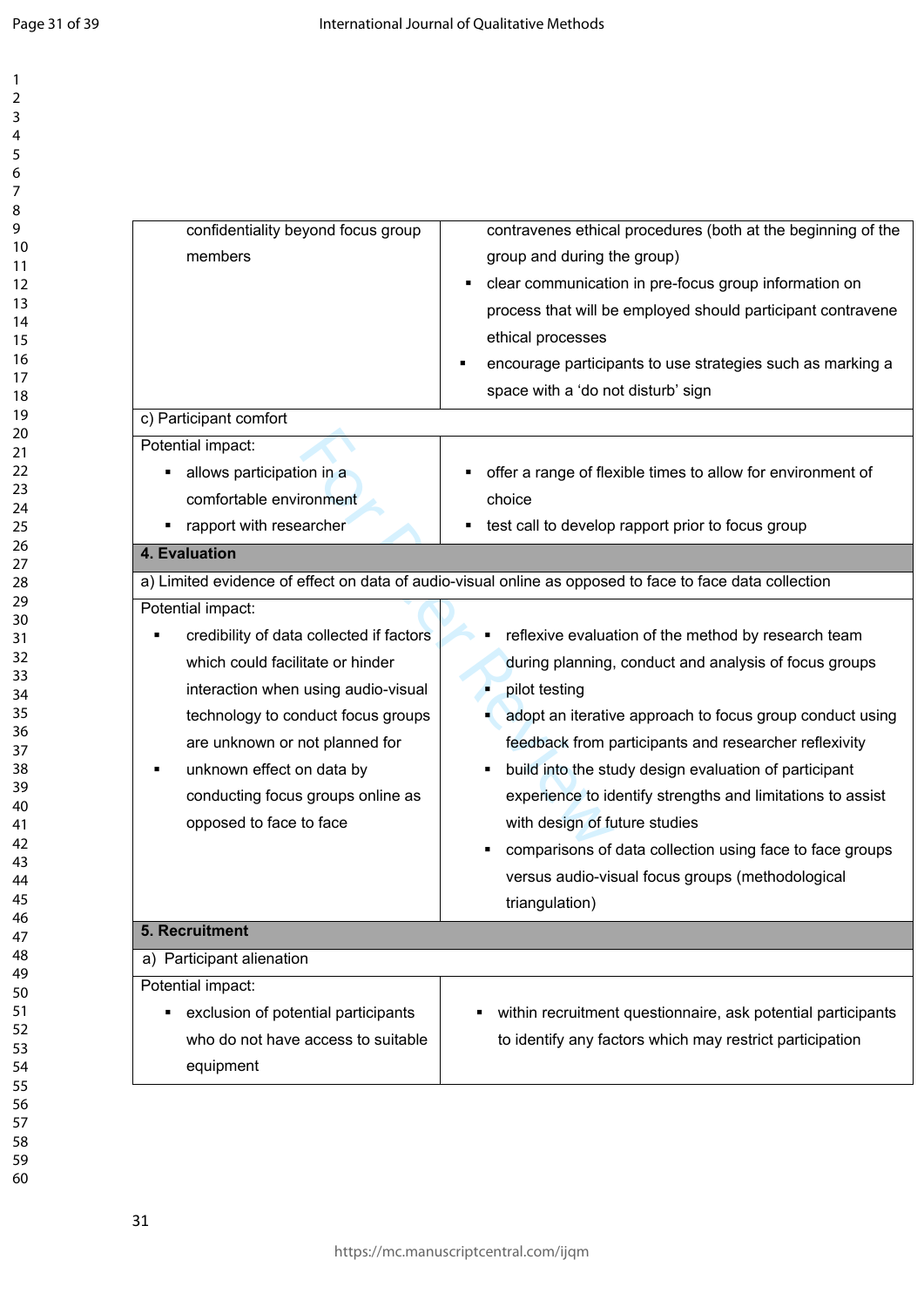| confidentiality beyond focus group<br>members<br>c) Participant comfort                                                                                                                                                                                                                       | contravenes ethical procedures (both at the beginning of the<br>group and during the group)<br>clear communication in pre-focus group information on<br>process that will be employed should participant contravene<br>ethical processes<br>encourage participants to use strategies such as marking a<br>space with a 'do not disturb' sign                                                                                                                                                                                                 |
|-----------------------------------------------------------------------------------------------------------------------------------------------------------------------------------------------------------------------------------------------------------------------------------------------|----------------------------------------------------------------------------------------------------------------------------------------------------------------------------------------------------------------------------------------------------------------------------------------------------------------------------------------------------------------------------------------------------------------------------------------------------------------------------------------------------------------------------------------------|
| Potential impact:<br>allows participation in a<br>п<br>comfortable environment<br>rapport with researcher                                                                                                                                                                                     | offer a range of flexible times to allow for environment of<br>choice<br>test call to develop rapport prior to focus group                                                                                                                                                                                                                                                                                                                                                                                                                   |
| 4. Evaluation                                                                                                                                                                                                                                                                                 | a) Limited evidence of effect on data of audio-visual online as opposed to face to face data collection                                                                                                                                                                                                                                                                                                                                                                                                                                      |
| credibility of data collected if factors<br>which could facilitate or hinder<br>interaction when using audio-visual<br>technology to conduct focus groups<br>are unknown or not planned for<br>unknown effect on data by<br>п<br>conducting focus groups online as<br>opposed to face to face | reflexive evaluation of the method by research team<br>during planning, conduct and analysis of focus groups<br>pilot testing<br>adopt an iterative approach to focus group conduct using<br>feedback from participants and researcher reflexivity<br>build into the study design evaluation of participant<br>experience to identify strengths and limitations to assist<br>with design of future studies<br>comparisons of data collection using face to face groups<br>versus audio-visual focus groups (methodological<br>triangulation) |
| 5. Recruitment<br>a) Participant alienation                                                                                                                                                                                                                                                   |                                                                                                                                                                                                                                                                                                                                                                                                                                                                                                                                              |
| Potential impact:<br>exclusion of potential participants<br>Ξ<br>who do not have access to suitable<br>equipment                                                                                                                                                                              | within recruitment questionnaire, ask potential participants<br>٠<br>to identify any factors which may restrict participation                                                                                                                                                                                                                                                                                                                                                                                                                |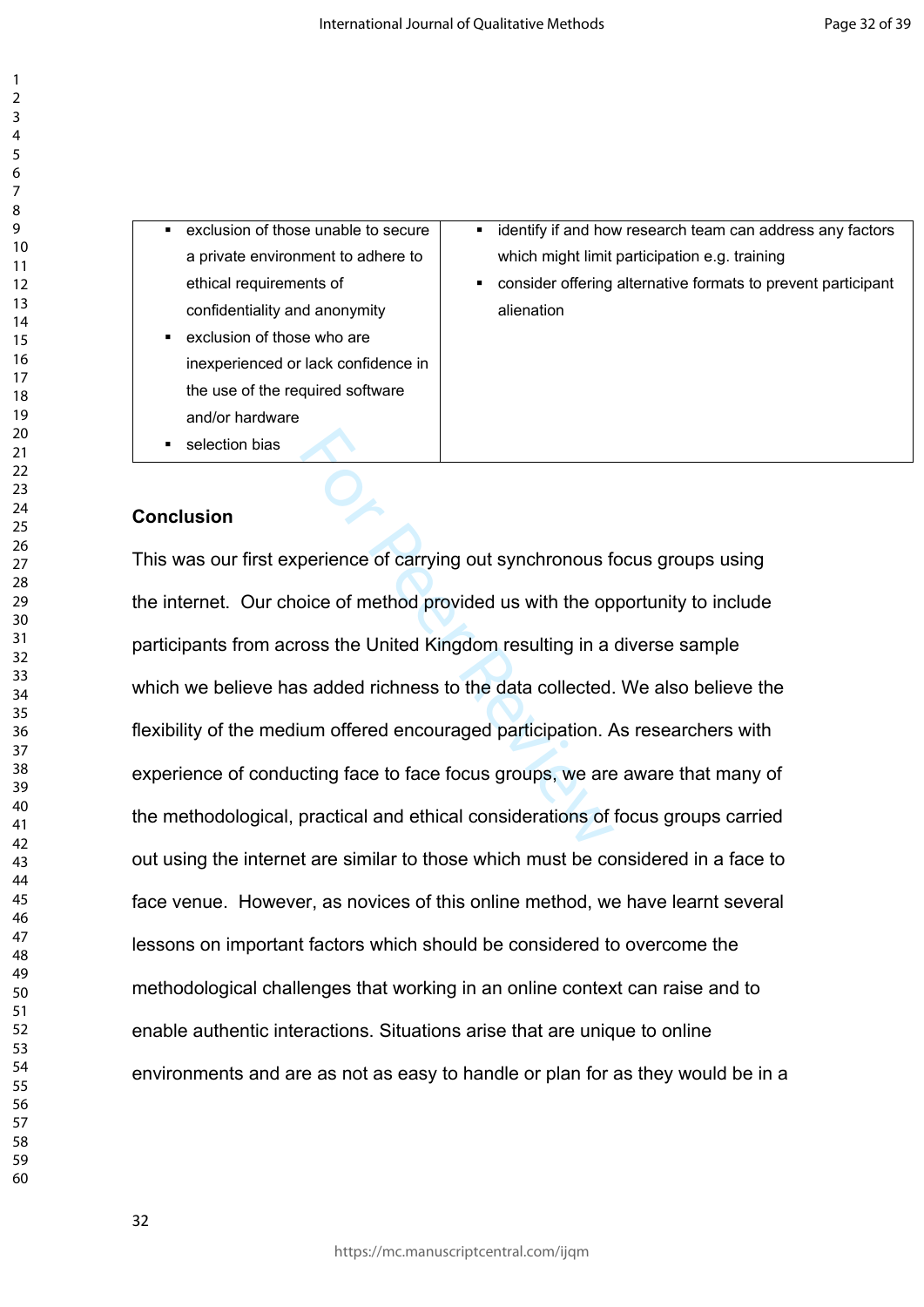exclusion of those unable to secure a private environment to adhere to ethical requirements of confidentiality and anonymity

- **Exclusion of those who are** inexperienced or lack confidence in the use of the required software and/or hardware
- **selection bias**
- **EXECT** identify if and how research team can address any factors which might limit participation e.g. training
- consider offering alternative formats to prevent participant alienation

# **Conclusion**

Prience of carrying out synchronous for<br>Discorperience of method provided us with the op<br>The Society of method Simple of the data collected.<br>The sadded richness to the data collected.<br>The sadded richness to the data collec This was our first experience of carrying out synchronous focus groups using the internet. Our choice of method provided us with the opportunity to include participants from across the United Kingdom resulting in a diverse sample which we believe has added richness to the data collected. We also believe the flexibility of the medium offered encouraged participation. As researchers with experience of conducting face to face focus groups, we are aware that many of the methodological, practical and ethical considerations of focus groups carried out using the internet are similar to those which must be considered in a face to face venue. However, as novices of this online method, we have learnt several lessons on important factors which should be considered to overcome the methodological challenges that working in an online context can raise and to enable authentic interactions. Situations arise that are unique to online environments and are as not as easy to handle or plan for as they would be in a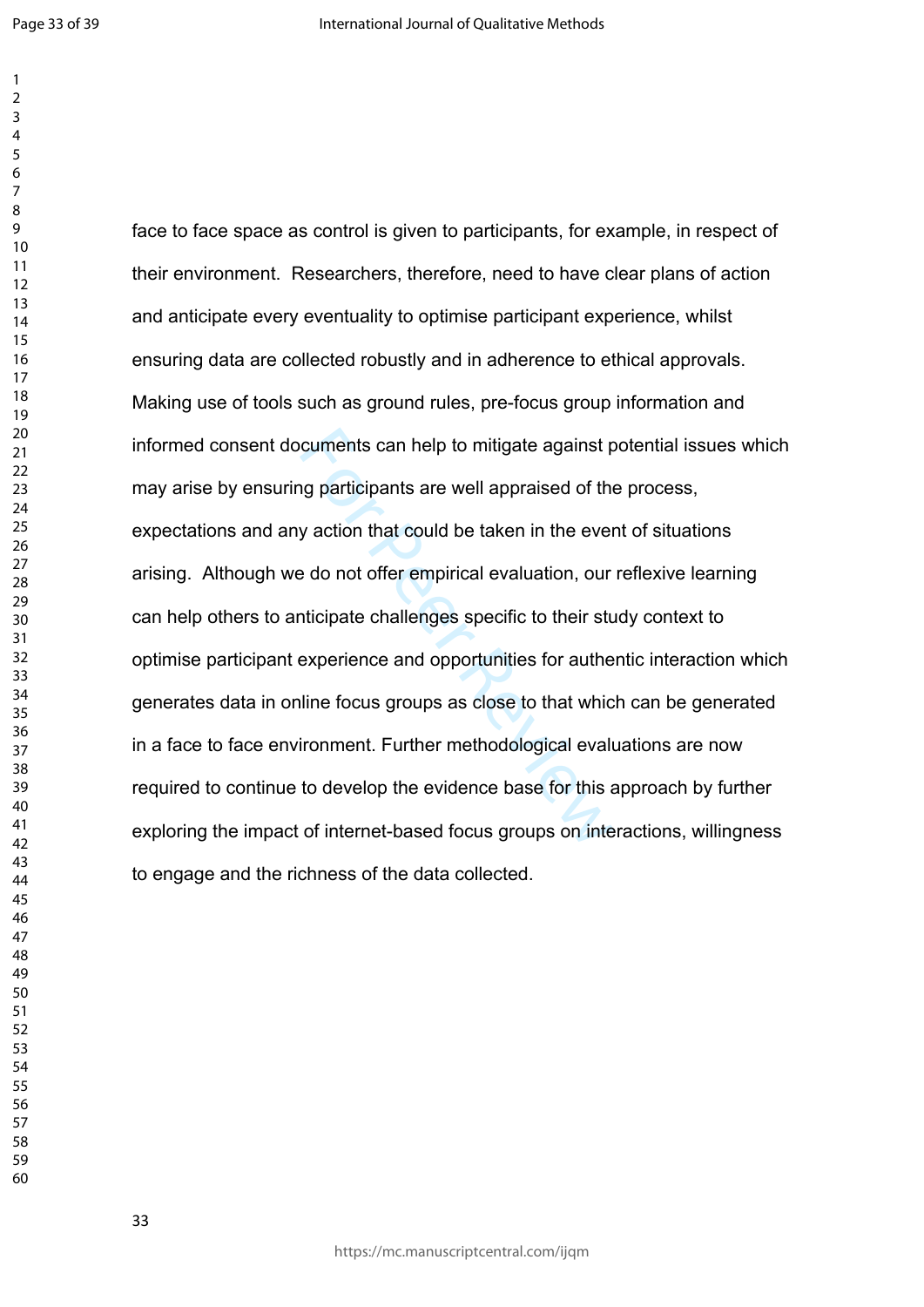cuments can help to mitigate against porticipants are well appraised of the y action that could be taken in the even<br>a do not offer empirical evaluation, our nticipate challenges specific to their stu<br>experience and opport face to face space as control is given to participants, for example, in respect of their environment. Researchers, therefore, need to have clear plans of action and anticipate every eventuality to optimise participant experience, whilst ensuring data are collected robustly and in adherence to ethical approvals. Making use of tools such as ground rules, pre-focus group information and informed consent documents can help to mitigate against potential issues which may arise by ensuring participants are well appraised of the process, expectations and any action that could be taken in the event of situations arising. Although we do not offer empirical evaluation, our reflexive learning can help others to anticipate challenges specific to their study context to optimise participant experience and opportunities for authentic interaction which generates data in online focus groups as close to that which can be generated in a face to face environment. Further methodological evaluations are now required to continue to develop the evidence base for this approach by further exploring the impact of internet-based focus groups on interactions, willingness to engage and the richness of the data collected.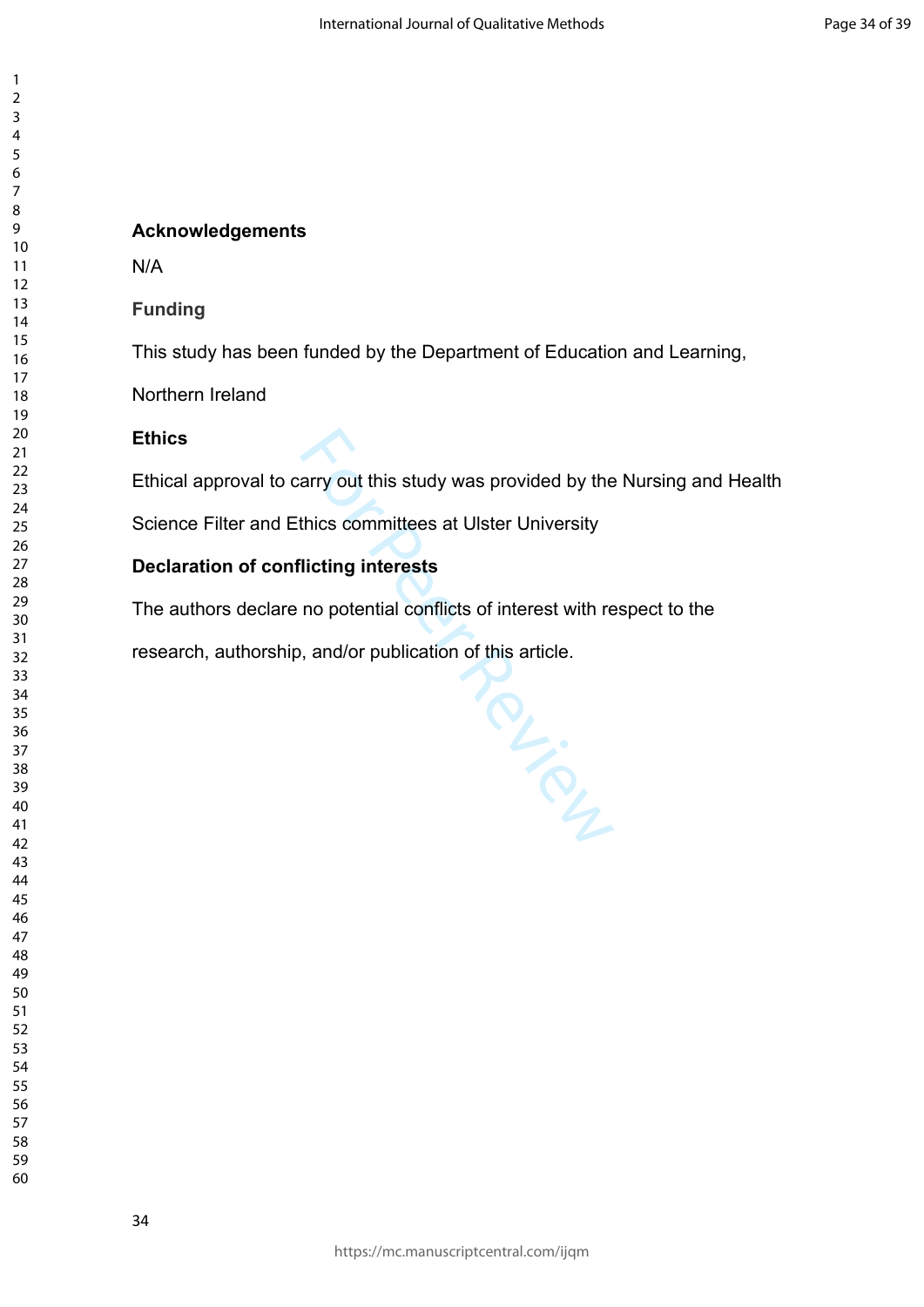# **Acknowledgements**

N/A

# **Funding**

This study has been funded by the Department of Education and Learning,

Northern Ireland

# **Ethics**

Ethical approval to carry out this study was provided by the Nursing and Health

For Prince

Science Filter and Ethics committees at Ulster University

# **Declaration of conflicting interests**

The authors declare no potential conflicts of interest with respect to the

research, authorship, and/or publication of this article.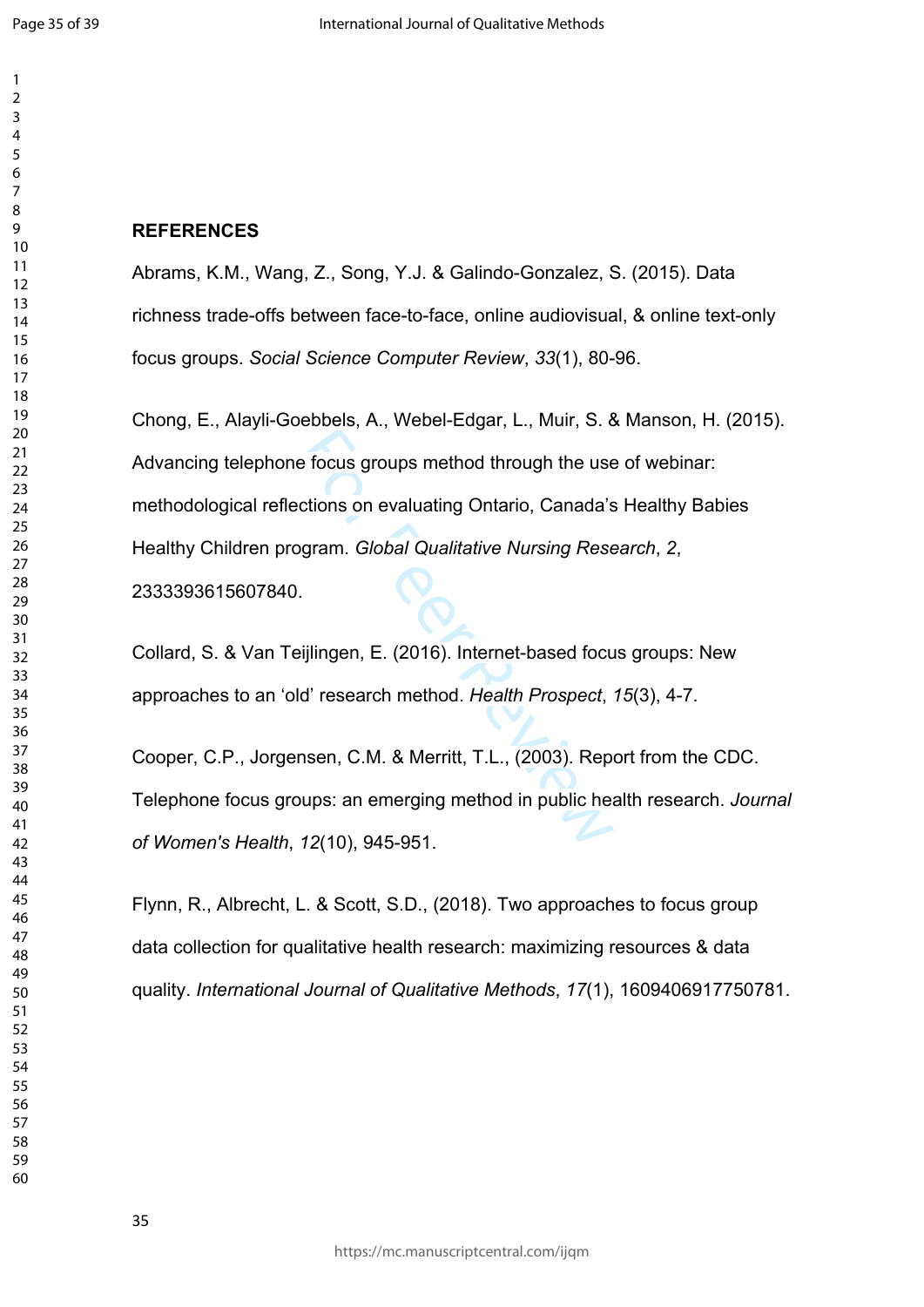$\mathbf{1}$ 

 

# **REFERENCES**

Abrams, K.M., Wang, Z., Song, Y.J. & Galindo-Gonzalez, S. (2015). Data richness trade-offs between face-to-face, online audiovisual, & online text-only focus groups. *Social Science Computer Review*, *33*(1), 80-96.

Exercison Solid Review of through the use<br>
ections on evaluating Ontario, Canada's<br>
egram. *Global Qualitative Nursing Rese*<br>
.<br>
Figure Review Contemented. Health Prospect,<br>
d' research method. Health Prospect,<br>
nsen, C.M. Chong, E., Alayli-Goebbels, A., Webel-Edgar, L., Muir, S. & Manson, H. (2015). Advancing telephone focus groups method through the use of webinar: methodological reflections on evaluating Ontario, Canada's Healthy Babies Healthy Children program. *Global Qualitative Nursing Research*, *2*, 2333393615607840.

Collard, S. & Van Teijlingen, E. (2016). Internet-based focus groups: New approaches to an 'old' research method. *Health Prospect*, *15*(3), 4-7.

Cooper, C.P., Jorgensen, C.M. & Merritt, T.L., (2003). Report from the CDC. Telephone focus groups: an emerging method in public health research. *Journal of Women's Health*, *12*(10), 945-951.

Flynn, R., Albrecht, L. & Scott, S.D., (2018). Two approaches to focus group data collection for qualitative health research: maximizing resources & data quality. *International Journal of Qualitative Methods*, *17*(1), 1609406917750781.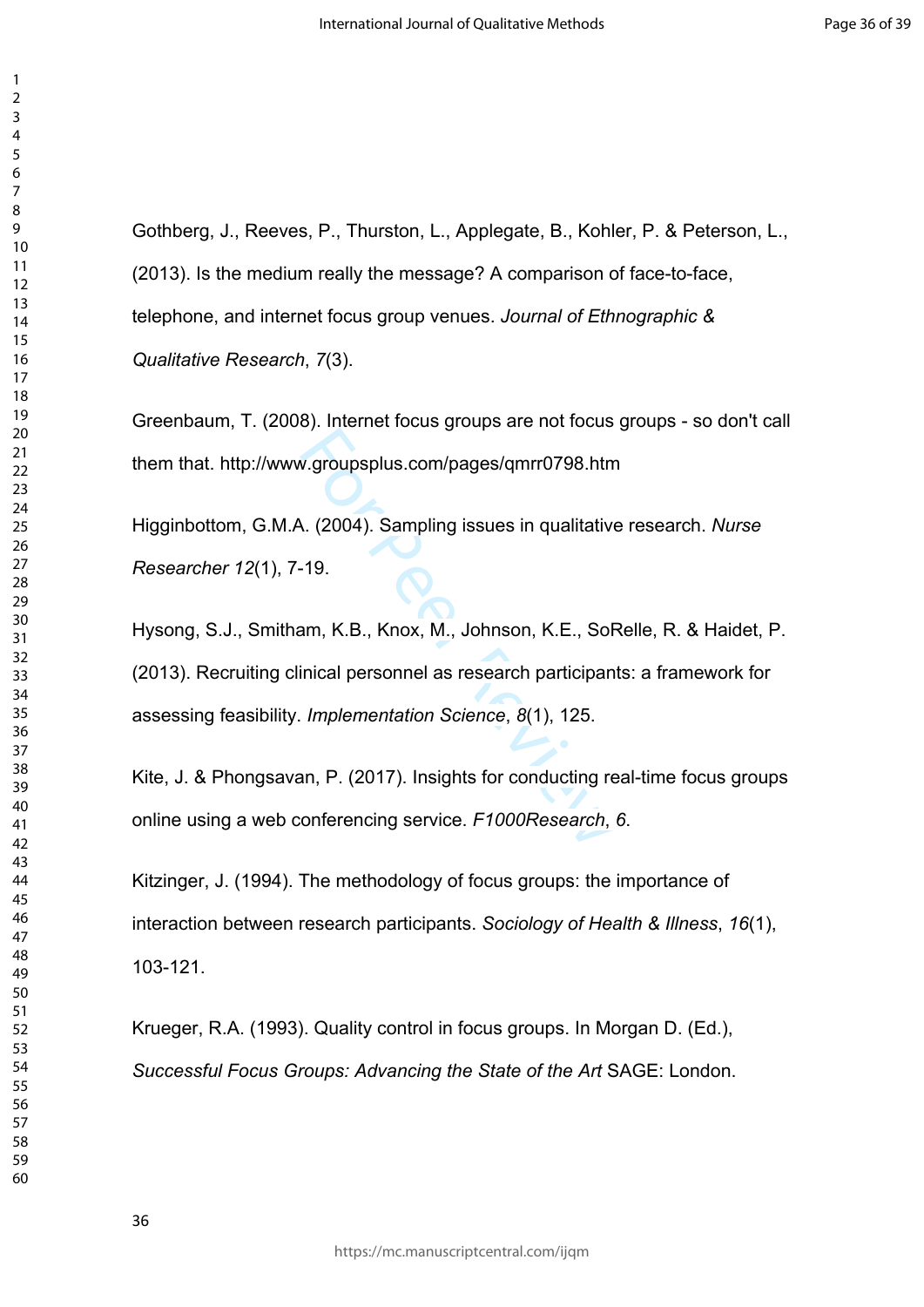Gothberg, J., Reeves, P., Thurston, L., Applegate, B., Kohler, P. & Peterson, L., (2013). Is the medium really the message? A comparison of face-to-face, telephone, and internet focus group venues. *Journal of Ethnographic & Qualitative Research*, *7*(3).

Greenbaum, T. (2008). Internet focus groups are not focus groups - so don't call them that. <http://www.groupsplus.com/pages/qmrr0798.htm>

Higginbottom, G.M.A. (2004). Sampling issues in qualitative research. *Nurse Researcher 12*(1), 7-19.

v.groupsplus.com/pages/qmrr0798.htm<br>N. (2004). Sampling issues in qualitativ-<br>19.<br>am, K.B., Knox, M., Johnson, K.E., Sof-<br>inical personnel as research participan<br>*Implementation Science*, 8(1), 125.<br>an, P. (2017). Insights Hysong, S.J., Smitham, K.B., Knox, M., Johnson, K.E., SoRelle, R. & Haidet, P. (2013). Recruiting clinical personnel as research participants: a framework for assessing feasibility. *Implementation Science*, *8*(1), 125.

Kite, J. & Phongsavan, P. (2017). Insights for conducting real-time focus groups online using a web conferencing service. *F1000Research*, *6*.

Kitzinger, J. (1994). The methodology of focus groups: the importance of interaction between research participants. *Sociology of Health & Illness*, *16*(1), 103-121.

Krueger, R.A. (1993). Quality control in focus groups. In Morgan D. (Ed.), *Successful Focus Groups: Advancing the State of the Art* SAGE: London.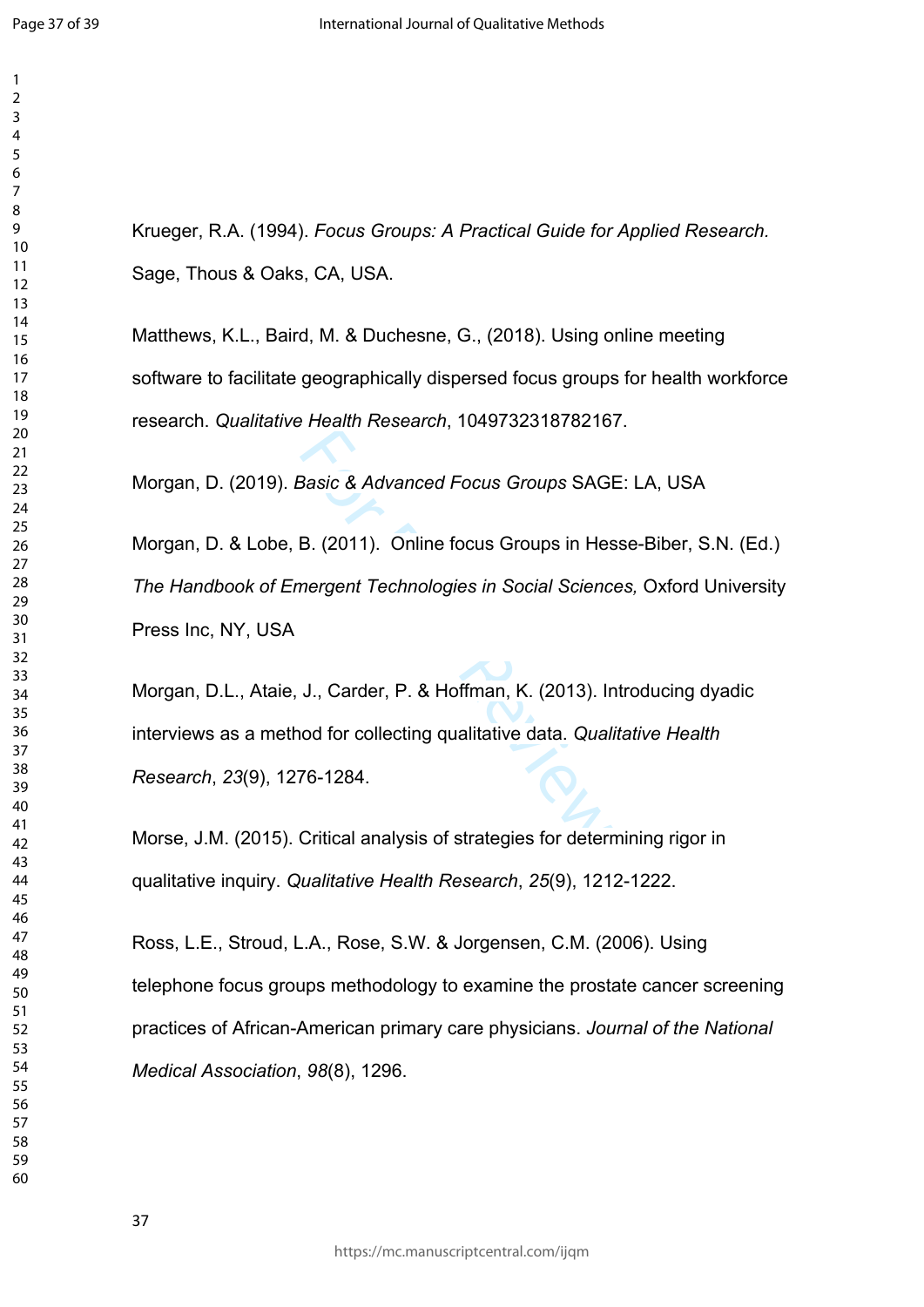$\mathbf{1}$  $\overline{2}$  $\overline{3}$  $\overline{4}$ 

Krueger, R.A. (1994). *Focus Groups: A Practical Guide for Applied Research.* Sage, Thous & Oaks, CA, USA.

Matthews, K.L., Baird, M. & Duchesne, G., (2018). Using online meeting software to facilitate geographically dispersed focus groups for health workforce research. *Qualitative Health Research*, 1049732318782167.

Morgan, D. (2019). *Basic & Advanced Focus Groups* SAGE: LA, USA

Basic & Advanced Focus Groups SAGI<br>B. (2011). Online focus Groups in Hes<br>nergent Technologies in Social Scienc<br>J., Carder, P. & Hoffman, K. (2013). In<br>nod for collecting qualitative data. Qual.<br>76-1284. Morgan, D. & Lobe, B. (2011). Online focus Groups in Hesse-Biber, S.N. (Ed.) *The Handbook of Emergent Technologies in Social Sciences,* Oxford University Press Inc, NY, USA

Morgan, D.L., Ataie, J., Carder, P. & Hoffman, K. (2013). Introducing dyadic interviews as a method for collecting qualitative data. *Qualitative Health Research*, *23*(9), 1276-1284.

Morse, J.M. (2015). Critical analysis of strategies for determining rigor in qualitative inquiry. *Qualitative Health Research*, *25*(9), 1212-1222.

Ross, L.E., Stroud, L.A., Rose, S.W. & Jorgensen, C.M. (2006). Using telephone focus groups methodology to examine the prostate cancer screening practices of African-American primary care physicians. *Journal of the National Medical Association*, *98*(8), 1296.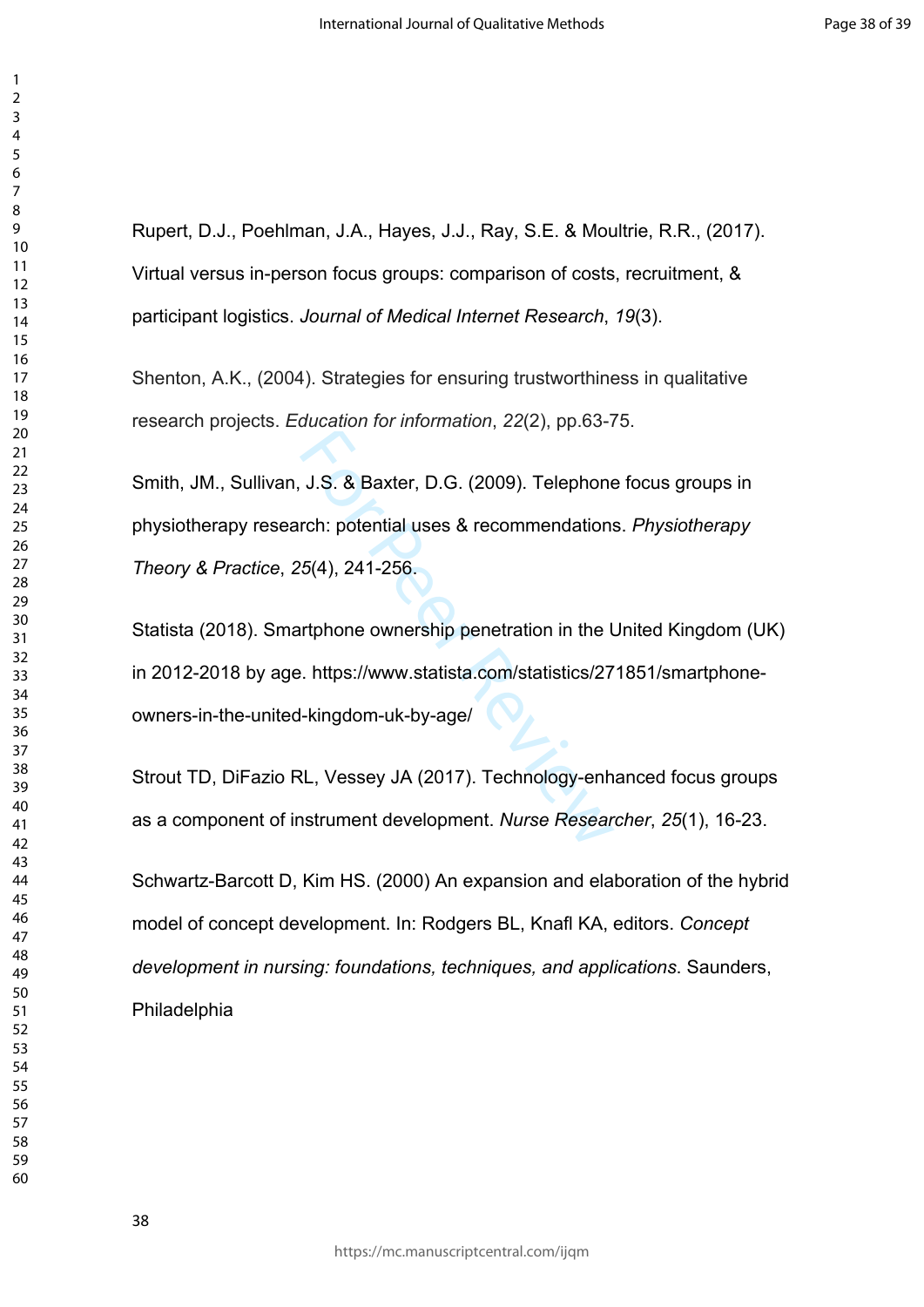Rupert, D.J., Poehlman, J.A., Hayes, J.J., Ray, S.E. & Moultrie, R.R., (2017). Virtual versus in-person focus groups: comparison of costs, recruitment, & participant logistics. *Journal of Medical Internet Research*, *19*(3).

Shenton, A.K., (2004). Strategies for ensuring trustworthiness in qualitative research projects. *Education for information*, *22*(2), pp.63-75.

J.S. & Baxter, D.G. (2009). Telephone<br>rch: potential uses & recommendations<br>5(4), 241-256.<br>urtphone ownership penetration in the l<br>e. https://www.statista.com/statistics/27<br>I-kingdom-uk-by-age/<br>RL, Vessey JA (2017). Techno Smith, JM., Sullivan, J.S. & Baxter, D.G. (2009). Telephone focus groups in physiotherapy research: potential uses & recommendations. *Physiotherapy Theory & Practice*, *25*(4), 241-256.

Statista (2018). Smartphone ownership penetration in the United Kingdom (UK) in 2012-2018 by age. https://www.statista.com/statistics/271851/smartphoneowners-in-the-united-kingdom-uk-by-age/

Strout TD, DiFazio RL, Vessey JA (2017). Technology-enhanced focus groups as a component of instrument development. *Nurse Researcher*, *25*(1), 16-23.

Schwartz-Barcott D, Kim HS. (2000) An expansion and elaboration of the hybrid model of concept development. In: Rodgers BL, Knafl KA, editors. *Concept development in nursing: foundations, techniques, and applications*. Saunders, Philadelphia